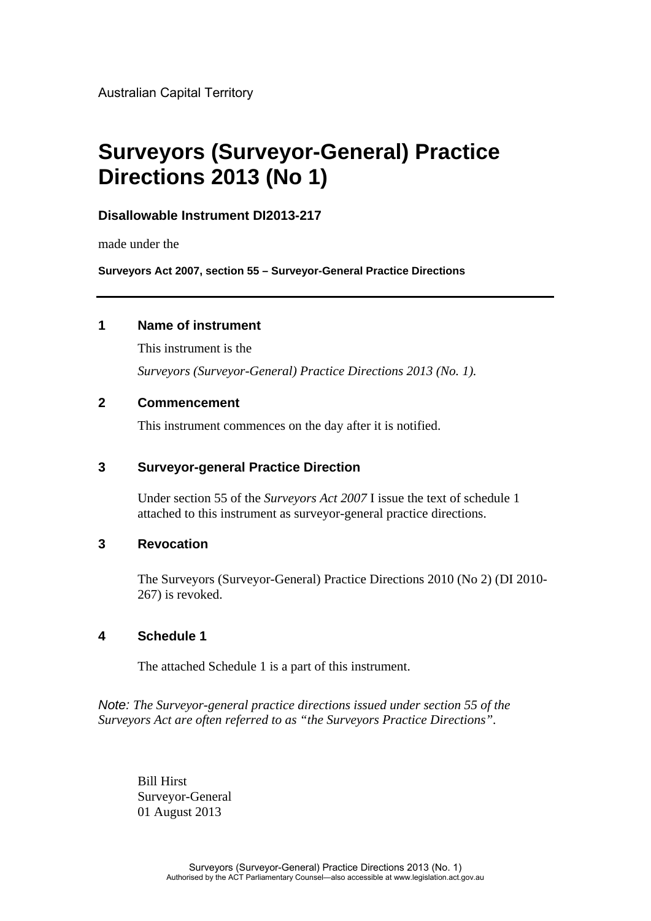Australian Capital Territory

# **Surveyors (Surveyor-General) Practice Directions 2013 (No 1)**

### **Disallowable Instrument DI2013-217**

made under the

**Surveyors Act 2007, section 55 – Surveyor-General Practice Directions**

### **1 Name of instrument**

This instrument is the *Surveyors (Surveyor-General) Practice Directions 2013 (No. 1).*

### **2 Commencement**

This instrument commences on the day after it is notified.

### **3 Surveyor-general Practice Direction**

Under section 55 of the *Surveyors Act 2007* I issue the text of schedule 1 attached to this instrument as surveyor-general practice directions.

### **3 Revocation**

The Surveyors (Surveyor-General) Practice Directions 2010 (No 2) (DI 2010- 267) is revoked.

### **4 Schedule 1**

The attached Schedule 1 is a part of this instrument.

*Note: The Surveyor-general practice directions issued under section 55 of the Surveyors Act are often referred to as "the Surveyors Practice Directions".*

Bill Hirst Surveyor-General 01 August 2013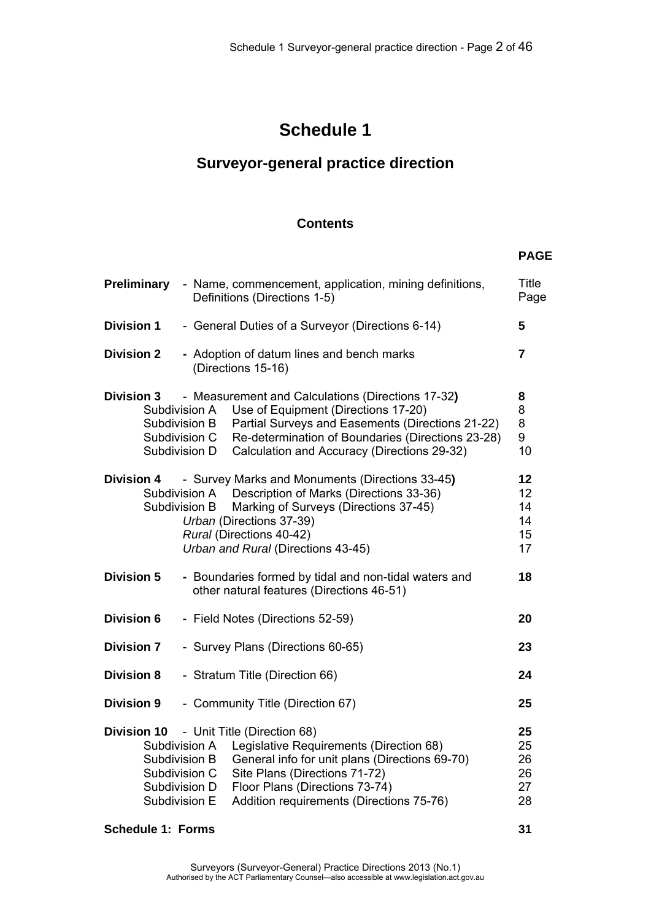**PAGE** 

# **Schedule 1**

# **Surveyor-general practice direction**

## **Contents**

| <b>Preliminary</b> | - Name, commencement, application, mining definitions,<br>Definitions (Directions 1-5)                                                                                                                                                                                                                                                          | <b>Title</b><br>Page             |
|--------------------|-------------------------------------------------------------------------------------------------------------------------------------------------------------------------------------------------------------------------------------------------------------------------------------------------------------------------------------------------|----------------------------------|
| <b>Division 1</b>  | - General Duties of a Surveyor (Directions 6-14)                                                                                                                                                                                                                                                                                                | 5                                |
| <b>Division 2</b>  | - Adoption of datum lines and bench marks<br>(Directions 15-16)                                                                                                                                                                                                                                                                                 | 7                                |
| <b>Division 3</b>  | - Measurement and Calculations (Directions 17-32)<br>Use of Equipment (Directions 17-20)<br>Subdivision A<br>Partial Surveys and Easements (Directions 21-22)<br>Subdivision B<br>Re-determination of Boundaries (Directions 23-28)<br>Subdivision C<br>Calculation and Accuracy (Directions 29-32)<br>Subdivision D                            | 8<br>8<br>8<br>9<br>10           |
| <b>Division 4</b>  | - Survey Marks and Monuments (Directions 33-45)<br>Description of Marks (Directions 33-36)<br>Subdivision A<br>Marking of Surveys (Directions 37-45)<br>Subdivision B<br>Urban (Directions 37-39)<br>Rural (Directions 40-42)<br>Urban and Rural (Directions 43-45)                                                                             | 12<br>12<br>14<br>14<br>15<br>17 |
| <b>Division 5</b>  | - Boundaries formed by tidal and non-tidal waters and<br>other natural features (Directions 46-51)                                                                                                                                                                                                                                              | 18                               |
| <b>Division 6</b>  | - Field Notes (Directions 52-59)                                                                                                                                                                                                                                                                                                                | 20                               |
| <b>Division 7</b>  | - Survey Plans (Directions 60-65)                                                                                                                                                                                                                                                                                                               | 23                               |
| <b>Division 8</b>  | - Stratum Title (Direction 66)                                                                                                                                                                                                                                                                                                                  | 24                               |
| <b>Division 9</b>  | - Community Title (Direction 67)                                                                                                                                                                                                                                                                                                                | 25                               |
|                    | <b>Division 10</b> - Unit Title (Direction 68)<br>Legislative Requirements (Direction 68)<br>Subdivision A<br>General info for unit plans (Directions 69-70)<br>Subdivision B<br>Site Plans (Directions 71-72)<br>Subdivision C<br>Floor Plans (Directions 73-74)<br>Subdivision D<br>Addition requirements (Directions 75-76)<br>Subdivision E | 25<br>25<br>26<br>26<br>27<br>28 |

## **Schedule 1: Forms 31 31 and 31 and 31 and 31 and 31 and 31 and 31 and 31 and 31 and 31 and 31 and 31 and 31 and 31 and 31 and 31 and 31 and 31 and 31 and 31 and 31 and 31 and 32 and 32 and 32 and 32 and 32 and 32 and 32 a**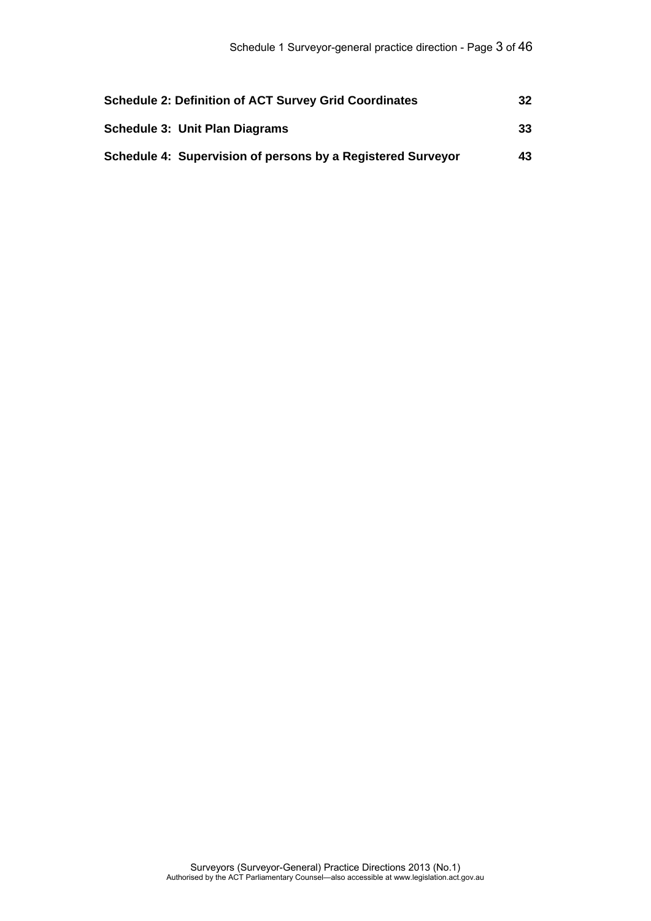| <b>Schedule 2: Definition of ACT Survey Grid Coordinates</b> | 32  |
|--------------------------------------------------------------|-----|
| <b>Schedule 3: Unit Plan Diagrams</b>                        | 33  |
| Schedule 4: Supervision of persons by a Registered Surveyor  | 43. |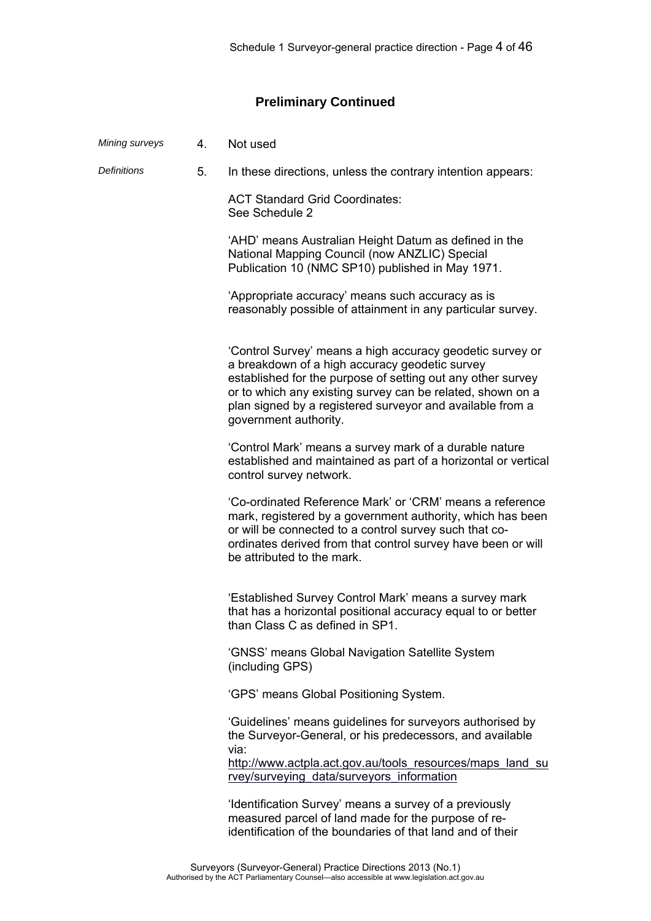# **Preliminary Continued**

| Mining surveys     | 4. | Not used                                                                                                                                                                                                                                                                                                                       |
|--------------------|----|--------------------------------------------------------------------------------------------------------------------------------------------------------------------------------------------------------------------------------------------------------------------------------------------------------------------------------|
| <b>Definitions</b> | 5. | In these directions, unless the contrary intention appears:                                                                                                                                                                                                                                                                    |
|                    |    | <b>ACT Standard Grid Coordinates:</b><br>See Schedule 2                                                                                                                                                                                                                                                                        |
|                    |    | 'AHD' means Australian Height Datum as defined in the<br>National Mapping Council (now ANZLIC) Special<br>Publication 10 (NMC SP10) published in May 1971.                                                                                                                                                                     |
|                    |    | 'Appropriate accuracy' means such accuracy as is<br>reasonably possible of attainment in any particular survey.                                                                                                                                                                                                                |
|                    |    | 'Control Survey' means a high accuracy geodetic survey or<br>a breakdown of a high accuracy geodetic survey<br>established for the purpose of setting out any other survey<br>or to which any existing survey can be related, shown on a<br>plan signed by a registered surveyor and available from a<br>government authority. |
|                    |    | 'Control Mark' means a survey mark of a durable nature<br>established and maintained as part of a horizontal or vertical<br>control survey network.                                                                                                                                                                            |
|                    |    | 'Co-ordinated Reference Mark' or 'CRM' means a reference<br>mark, registered by a government authority, which has been<br>or will be connected to a control survey such that co-<br>ordinates derived from that control survey have been or will<br>be attributed to the mark.                                                 |
|                    |    | 'Established Survey Control Mark' means a survey mark<br>that has a horizontal positional accuracy equal to or better<br>than Class C as defined in SP1                                                                                                                                                                        |
|                    |    | 'GNSS' means Global Navigation Satellite System<br>(including GPS)                                                                                                                                                                                                                                                             |
|                    |    | 'GPS' means Global Positioning System.                                                                                                                                                                                                                                                                                         |
|                    |    | 'Guidelines' means guidelines for surveyors authorised by<br>the Surveyor-General, or his predecessors, and available<br>via:                                                                                                                                                                                                  |
|                    |    | http://www.actpla.act.gov.au/tools resources/maps land su<br>rvey/surveying data/surveyors information                                                                                                                                                                                                                         |
|                    |    | 'Identification Survey' means a survey of a previously<br>measured parcel of land made for the purpose of re-<br>identification of the boundaries of that land and of their                                                                                                                                                    |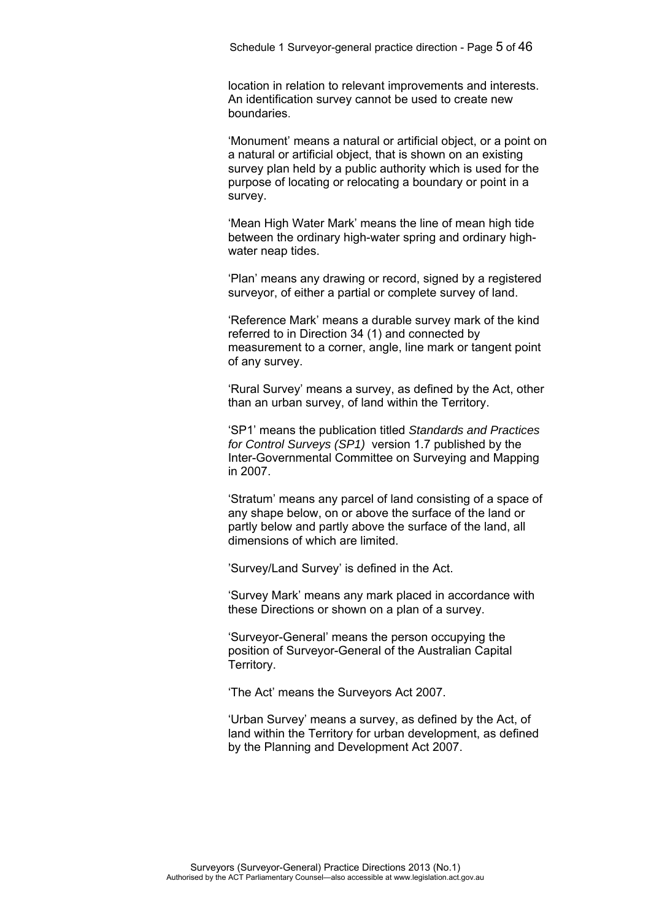location in relation to relevant improvements and interests. An identification survey cannot be used to create new boundaries.

 'Monument' means a natural or artificial object, or a point on a natural or artificial object, that is shown on an existing survey plan held by a public authority which is used for the purpose of locating or relocating a boundary or point in a survey.

 'Mean High Water Mark' means the line of mean high tide between the ordinary high-water spring and ordinary highwater neap tides.

 'Plan' means any drawing or record, signed by a registered surveyor, of either a partial or complete survey of land.

 'Reference Mark' means a durable survey mark of the kind referred to in Direction 34 (1) and connected by measurement to a corner, angle, line mark or tangent point of any survey.

 'Rural Survey' means a survey, as defined by the Act, other than an urban survey, of land within the Territory.

 'SP1' means the publication titled *Standards and Practices for Control Surveys (SP1)* version 1.7 published by the Inter-Governmental Committee on Surveying and Mapping in 2007.

 'Stratum' means any parcel of land consisting of a space of any shape below, on or above the surface of the land or partly below and partly above the surface of the land, all dimensions of which are limited.

'Survey/Land Survey' is defined in the Act.

 'Survey Mark' means any mark placed in accordance with these Directions or shown on a plan of a survey.

 'Surveyor-General' means the person occupying the position of Surveyor-General of the Australian Capital Territory.

'The Act' means the Surveyors Act 2007.

 'Urban Survey' means a survey, as defined by the Act, of land within the Territory for urban development, as defined by the Planning and Development Act 2007.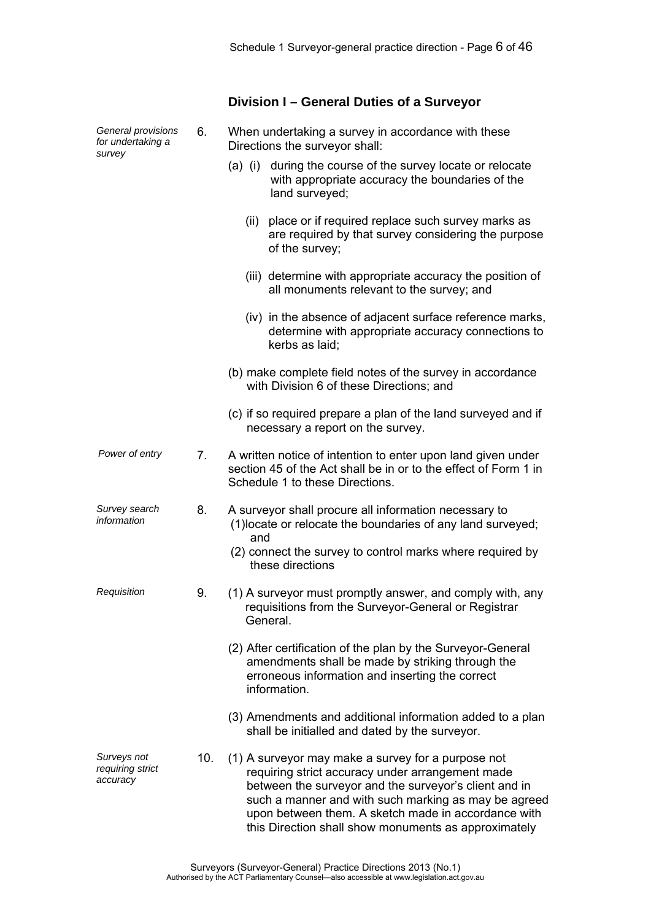# **Division I – General Duties of a Surveyor**

| General provisions<br>for undertaking a<br>survey | 6.  | When undertaking a survey in accordance with these<br>Directions the surveyor shall:                                                                                                                                                                                                                                                   |
|---------------------------------------------------|-----|----------------------------------------------------------------------------------------------------------------------------------------------------------------------------------------------------------------------------------------------------------------------------------------------------------------------------------------|
|                                                   |     | during the course of the survey locate or relocate<br>$(a)$ (i)<br>with appropriate accuracy the boundaries of the<br>land surveyed;                                                                                                                                                                                                   |
|                                                   |     | (ii) place or if required replace such survey marks as<br>are required by that survey considering the purpose<br>of the survey;                                                                                                                                                                                                        |
|                                                   |     | (iii) determine with appropriate accuracy the position of<br>all monuments relevant to the survey; and                                                                                                                                                                                                                                 |
|                                                   |     | (iv) in the absence of adjacent surface reference marks,<br>determine with appropriate accuracy connections to<br>kerbs as laid;                                                                                                                                                                                                       |
|                                                   |     | (b) make complete field notes of the survey in accordance<br>with Division 6 of these Directions; and                                                                                                                                                                                                                                  |
|                                                   |     | (c) if so required prepare a plan of the land surveyed and if<br>necessary a report on the survey.                                                                                                                                                                                                                                     |
| Power of entry                                    | 7.  | A written notice of intention to enter upon land given under<br>section 45 of the Act shall be in or to the effect of Form 1 in<br>Schedule 1 to these Directions.                                                                                                                                                                     |
| Survey search<br>information                      | 8.  | A surveyor shall procure all information necessary to<br>(1) locate or relocate the boundaries of any land surveyed;<br>and                                                                                                                                                                                                            |
|                                                   |     | (2) connect the survey to control marks where required by<br>these directions                                                                                                                                                                                                                                                          |
| Requisition                                       | 9.  | (1) A surveyor must promptly answer, and comply with, any<br>requisitions from the Surveyor-General or Registrar<br>General.                                                                                                                                                                                                           |
|                                                   |     | (2) After certification of the plan by the Surveyor-General<br>amendments shall be made by striking through the<br>erroneous information and inserting the correct<br>information.                                                                                                                                                     |
|                                                   |     | (3) Amendments and additional information added to a plan<br>shall be initialled and dated by the surveyor.                                                                                                                                                                                                                            |
| Surveys not<br>requiring strict<br>accuracy       | 10. | (1) A surveyor may make a survey for a purpose not<br>requiring strict accuracy under arrangement made<br>between the surveyor and the surveyor's client and in<br>such a manner and with such marking as may be agreed<br>upon between them. A sketch made in accordance with<br>this Direction shall show monuments as approximately |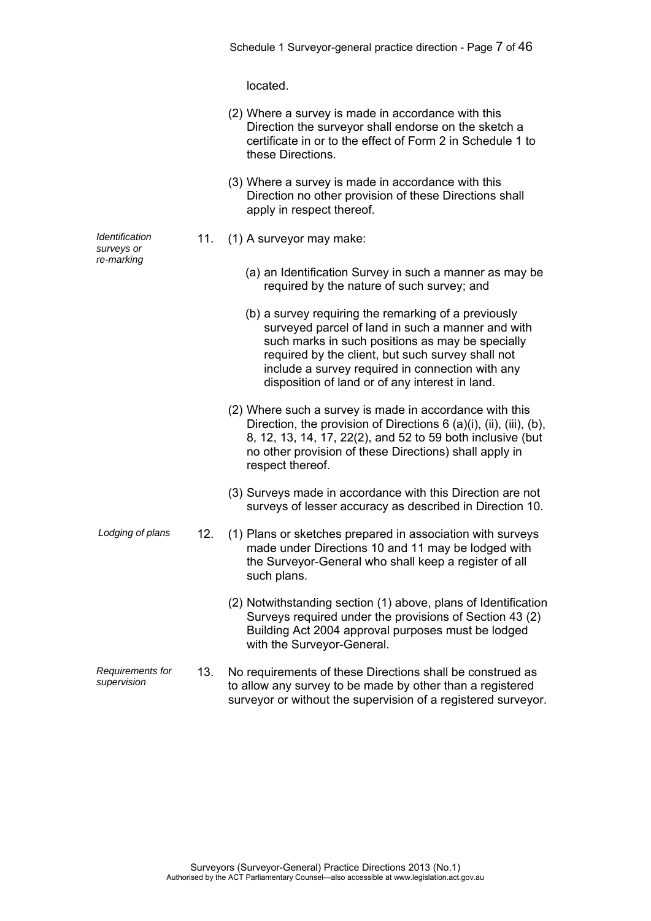located.

| (2) Where a survey is made in accordance with this         |  |
|------------------------------------------------------------|--|
| Direction the surveyor shall endorse on the sketch a       |  |
| certificate in or to the effect of Form 2 in Schedule 1 to |  |
| these Directions.                                          |  |

- (3) Where a survey is made in accordance with this Direction no other provision of these Directions shall apply in respect thereof.
- 11. (1) A surveyor may make:
	- (a) an Identification Survey in such a manner as may be required by the nature of such survey; and
	- (b) a survey requiring the remarking of a previously surveyed parcel of land in such a manner and with such marks in such positions as may be specially required by the client, but such survey shall not include a survey required in connection with any disposition of land or of any interest in land.
	- (2) Where such a survey is made in accordance with this Direction, the provision of Directions 6 (a)(i), (ii), (iii), (b), 8, 12, 13, 14, 17, 22(2), and 52 to 59 both inclusive (but no other provision of these Directions) shall apply in respect thereof.
	- (3) Surveys made in accordance with this Direction are not surveys of lesser accuracy as described in Direction 10.
- *Lodging of plans* 12. (1) Plans or sketches prepared in association with surveys made under Directions 10 and 11 may be lodged with the Surveyor-General who shall keep a register of all such plans.
	- (2) Notwithstanding section (1) above, plans of Identification Surveys required under the provisions of Section 43 (2) Building Act 2004 approval purposes must be lodged with the Surveyor-General.
- *Requirements for supervision* 13. No requirements of these Directions shall be construed as to allow any survey to be made by other than a registered surveyor or without the supervision of a registered surveyor.

*Identification surveys or re-marking* 

> Surveyors (Surveyor-General) Practice Directions 2013 (No.1) Authorised by the ACT Parliamentary Counsel—also accessible at www.legislation.act.gov.au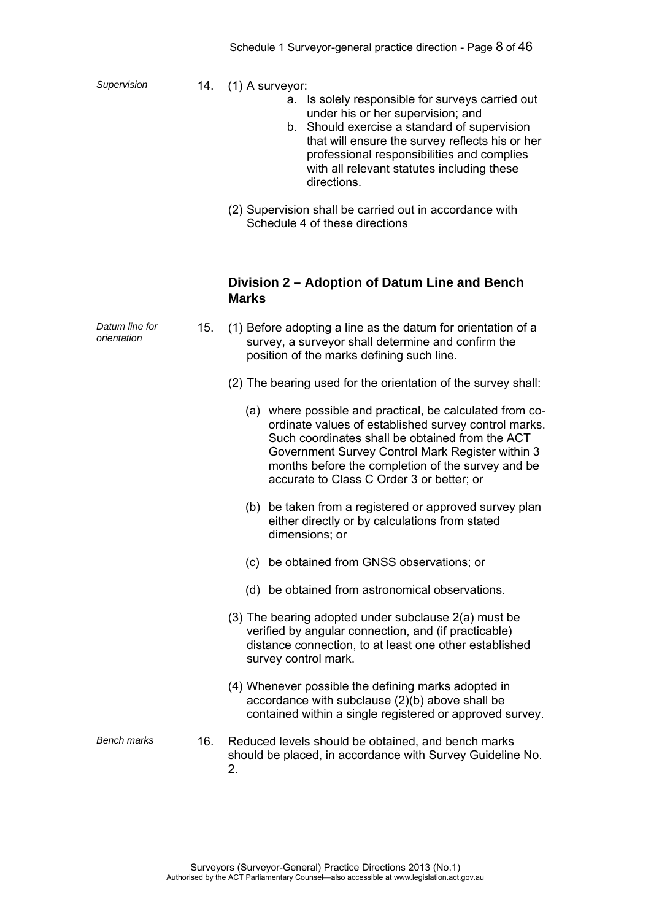- *Supervision* 14. (1) A surveyor:
	- a. Is solely responsible for surveys carried out under his or her supervision; and
	- b. Should exercise a standard of supervision that will ensure the survey reflects his or her professional responsibilities and complies with all relevant statutes including these directions.
	- (2) Supervision shall be carried out in accordance with Schedule 4 of these directions

### **Division 2 – Adoption of Datum Line and Bench Marks**

| Datum line for<br>orientation | 15. | (1) Before adopting a line as the datum for orientation of a<br>survey, a surveyor shall determine and confirm the<br>position of the marks defining such line.                                                                                                                                                           |
|-------------------------------|-----|---------------------------------------------------------------------------------------------------------------------------------------------------------------------------------------------------------------------------------------------------------------------------------------------------------------------------|
|                               |     | (2) The bearing used for the orientation of the survey shall:                                                                                                                                                                                                                                                             |
|                               |     | (a) where possible and practical, be calculated from co-<br>ordinate values of established survey control marks.<br>Such coordinates shall be obtained from the ACT<br>Government Survey Control Mark Register within 3<br>months before the completion of the survey and be<br>accurate to Class C Order 3 or better; or |
|                               |     | (b) be taken from a registered or approved survey plan<br>either directly or by calculations from stated<br>dimensions; or                                                                                                                                                                                                |
|                               |     | be obtained from GNSS observations; or<br>(c)                                                                                                                                                                                                                                                                             |
|                               |     | (d) be obtained from astronomical observations.                                                                                                                                                                                                                                                                           |
|                               |     | (3) The bearing adopted under subclause 2(a) must be<br>verified by angular connection, and (if practicable)<br>distance connection, to at least one other established<br>survey control mark.                                                                                                                            |
|                               |     | (4) Whenever possible the defining marks adopted in<br>accordance with subclause (2)(b) above shall be<br>contained within a single registered or approved survey.                                                                                                                                                        |
| <b>Bench marks</b>            | 16. | Reduced levels should be obtained, and bench marks<br>should be placed, in accordance with Survey Guideline No.<br>2.                                                                                                                                                                                                     |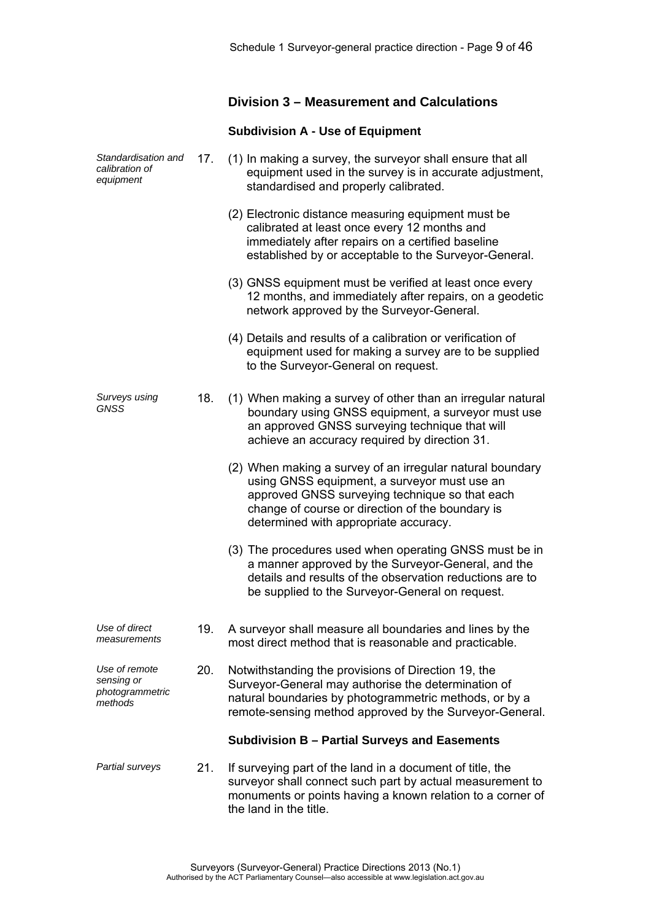### **Division 3 – Measurement and Calculations**

#### **Subdivision A - Use of Equipment**

*Standardisation and calibration of equipment*  17. (1) In making a survey, the surveyor shall ensure that all equipment used in the survey is in accurate adjustment, standardised and properly calibrated. (2) Electronic distance measuring equipment must be calibrated at least once every 12 months and immediately after repairs on a certified baseline established by or acceptable to the Surveyor-General. (3) GNSS equipment must be verified at least once every 12 months, and immediately after repairs, on a geodetic network approved by the Surveyor-General. (4) Details and results of a calibration or verification of equipment used for making a survey are to be supplied to the Surveyor-General on request. *Surveys using GNSS*  18. (1) When making a survey of other than an irregular natural boundary using GNSS equipment, a surveyor must use an approved GNSS surveying technique that will achieve an accuracy required by direction 31. (2) When making a survey of an irregular natural boundary using GNSS equipment, a surveyor must use an approved GNSS surveying technique so that each change of course or direction of the boundary is determined with appropriate accuracy. (3) The procedures used when operating GNSS must be in a manner approved by the Surveyor-General, and the details and results of the observation reductions are to be supplied to the Surveyor-General on request. *Use of direct measurements*  19. A surveyor shall measure all boundaries and lines by the most direct method that is reasonable and practicable. *Use of remote sensing or photogrammetric methods*  20. Notwithstanding the provisions of Direction 19, the Surveyor-General may authorise the determination of natural boundaries by photogrammetric methods, or by a remote-sensing method approved by the Surveyor-General. **Subdivision B – Partial Surveys and Easements**  *Partial surveys* 21. If surveying part of the land in a document of title, the surveyor shall connect such part by actual measurement to monuments or points having a known relation to a corner of the land in the title.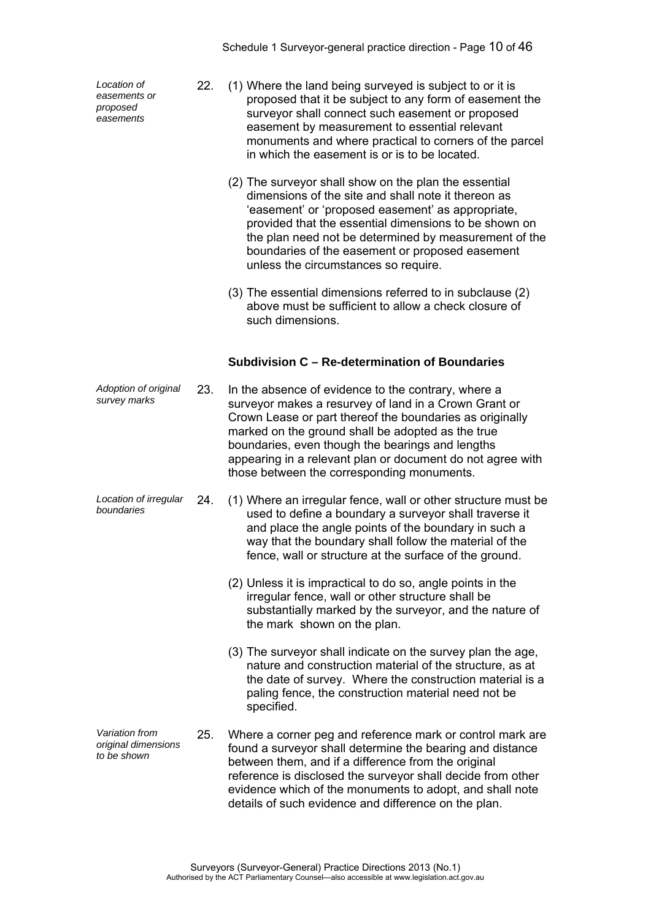*Location of easements or proposed easements* 

- 22. (1) Where the land being surveyed is subject to or it is proposed that it be subject to any form of easement the surveyor shall connect such easement or proposed easement by measurement to essential relevant monuments and where practical to corners of the parcel in which the easement is or is to be located.
	- (2) The surveyor shall show on the plan the essential dimensions of the site and shall note it thereon as 'easement' or 'proposed easement' as appropriate, provided that the essential dimensions to be shown on the plan need not be determined by measurement of the boundaries of the easement or proposed easement unless the circumstances so require.
	- (3) The essential dimensions referred to in subclause (2) above must be sufficient to allow a check closure of such dimensions.

#### **Subdivision C – Re-determination of Boundaries**

- *Adoption of original*  23. In the absence of evidence to the contrary, where a surveyor makes a resurvey of land in a Crown Grant or Crown Lease or part thereof the boundaries as originally marked on the ground shall be adopted as the true boundaries, even though the bearings and lengths appearing in a relevant plan or document do not agree with those between the corresponding monuments.
- *Location of irregular boundaries* 24. (1) Where an irregular fence, wall or other structure must be used to define a boundary a surveyor shall traverse it and place the angle points of the boundary in such a way that the boundary shall follow the material of the fence, wall or structure at the surface of the ground.
	- (2) Unless it is impractical to do so, angle points in the irregular fence, wall or other structure shall be substantially marked by the surveyor, and the nature of the mark shown on the plan.
	- (3) The surveyor shall indicate on the survey plan the age, nature and construction material of the structure, as at the date of survey. Where the construction material is a paling fence, the construction material need not be specified.
- *Variation from original dimensions to be shown*  25. Where a corner peg and reference mark or control mark are found a surveyor shall determine the bearing and distance between them, and if a difference from the original reference is disclosed the surveyor shall decide from other evidence which of the monuments to adopt, and shall note details of such evidence and difference on the plan.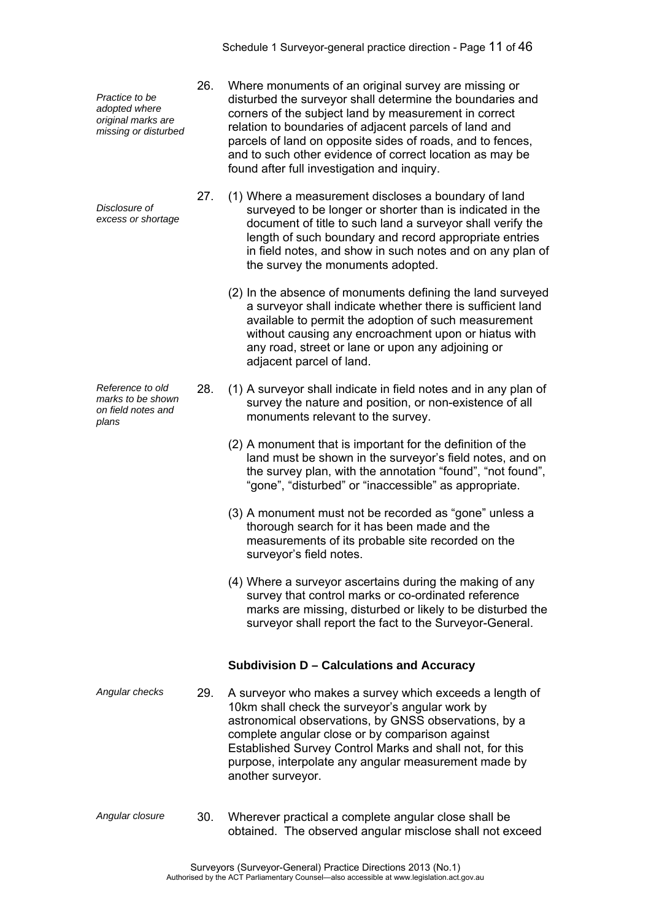*Practice to be adopted where original marks are missing or disturbed* 

*Disclosure of excess or shortage*

*Reference to old marks to be shown on field notes and plans* 

- 26. Where monuments of an original survey are missing or disturbed the surveyor shall determine the boundaries and corners of the subject land by measurement in correct relation to boundaries of adjacent parcels of land and parcels of land on opposite sides of roads, and to fences, and to such other evidence of correct location as may be found after full investigation and inquiry.
- 27. (1) Where a measurement discloses a boundary of land surveyed to be longer or shorter than is indicated in the document of title to such land a surveyor shall verify the length of such boundary and record appropriate entries in field notes, and show in such notes and on any plan of the survey the monuments adopted.
	- (2) In the absence of monuments defining the land surveyed a surveyor shall indicate whether there is sufficient land available to permit the adoption of such measurement without causing any encroachment upon or hiatus with any road, street or lane or upon any adjoining or adjacent parcel of land.
- 28. (1) A surveyor shall indicate in field notes and in any plan of survey the nature and position, or non-existence of all monuments relevant to the survey.
	- (2) A monument that is important for the definition of the land must be shown in the surveyor's field notes, and on the survey plan, with the annotation "found", "not found", "gone", "disturbed" or "inaccessible" as appropriate.
	- (3) A monument must not be recorded as "gone" unless a thorough search for it has been made and the measurements of its probable site recorded on the surveyor's field notes.
	- (4) Where a surveyor ascertains during the making of any survey that control marks or co-ordinated reference marks are missing, disturbed or likely to be disturbed the surveyor shall report the fact to the Surveyor-General.

### **Subdivision D – Calculations and Accuracy**

- *Angular checks* 29. A surveyor who makes a survey which exceeds a length of 10km shall check the surveyor's angular work by astronomical observations, by GNSS observations, by a complete angular close or by comparison against Established Survey Control Marks and shall not, for this purpose, interpolate any angular measurement made by another surveyor.
- *Angular closure* 30. Wherever practical a complete angular close shall be obtained. The observed angular misclose shall not exceed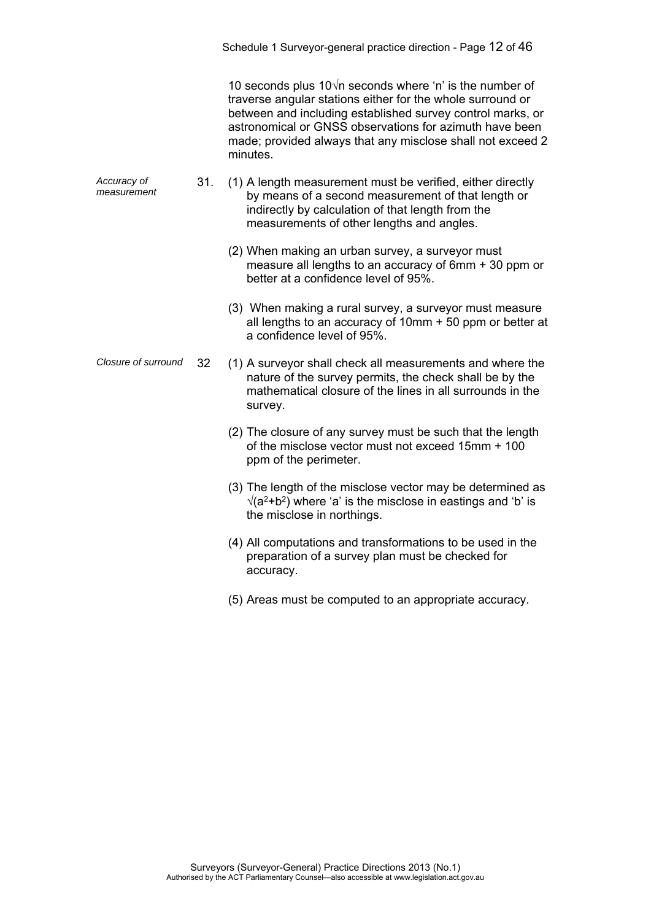|                            |     | Schedule 1 Surveyor-general practice direction - Page 12 of 46                                                                                                                                                                                                                                                                   |
|----------------------------|-----|----------------------------------------------------------------------------------------------------------------------------------------------------------------------------------------------------------------------------------------------------------------------------------------------------------------------------------|
|                            |     | 10 seconds plus $10\sqrt{n}$ seconds where 'n' is the number of<br>traverse angular stations either for the whole surround or<br>between and including established survey control marks, or<br>astronomical or GNSS observations for azimuth have been<br>made; provided always that any misclose shall not exceed 2<br>minutes. |
| Accuracy of<br>measurement | 31. | (1) A length measurement must be verified, either directly<br>by means of a second measurement of that length or<br>indirectly by calculation of that length from the<br>measurements of other lengths and angles.                                                                                                               |
|                            |     | (2) When making an urban survey, a surveyor must<br>measure all lengths to an accuracy of 6mm + 30 ppm or<br>better at a confidence level of 95%.                                                                                                                                                                                |
|                            |     | (3) When making a rural survey, a surveyor must measure<br>all lengths to an accuracy of 10mm + 50 ppm or better at<br>a confidence level of 95%.                                                                                                                                                                                |
| Closure of surround        | 32  | (1) A surveyor shall check all measurements and where the<br>nature of the survey permits, the check shall be by the<br>mathematical closure of the lines in all surrounds in the<br>survey.                                                                                                                                     |
|                            |     | (2) The closure of any survey must be such that the length<br>of the misclose vector must not exceed 15mm + 100<br>ppm of the perimeter.                                                                                                                                                                                         |
|                            |     | (3) The length of the misclose vector may be determined as<br>$\sqrt{(a^2+b^2)}$ where 'a' is the misclose in eastings and 'b' is<br>the misclose in northings.                                                                                                                                                                  |
|                            |     | (4) All computations and transformations to be used in the<br>preparation of a survey plan must be checked for<br>accuracy.                                                                                                                                                                                                      |
|                            |     | (5) Areas must be computed to an appropriate accuracy.                                                                                                                                                                                                                                                                           |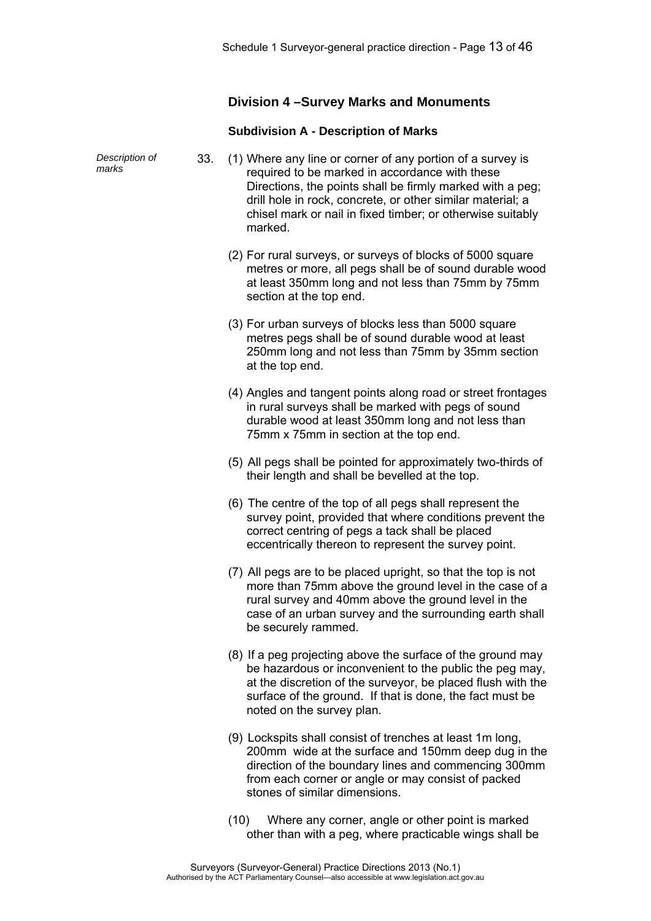### **Division 4 –Survey Marks and Monuments**

#### **Subdivision A - Description of Marks**

| Description of<br>marks | 33. | (1) Where any line or corner of any portion of a survey is<br>required to be marked in accordance with these<br>Directions, the points shall be firmly marked with a peg;<br>drill hole in rock, concrete, or other similar material; a<br>chisel mark or nail in fixed timber; or otherwise suitably<br>marked. |
|-------------------------|-----|------------------------------------------------------------------------------------------------------------------------------------------------------------------------------------------------------------------------------------------------------------------------------------------------------------------|
|                         |     | (2) For rural surveys, or surveys of blocks of 5000 square<br>metres or more, all pegs shall be of sound durable wood<br>at least 350mm long and not less than 75mm by 75mm<br>section at the top end.                                                                                                           |
|                         |     | (3) For urban surveys of blocks less than 5000 square<br>metres pegs shall be of sound durable wood at least<br>250mm long and not less than 75mm by 35mm section<br>at the top end.                                                                                                                             |
|                         |     | (4) Angles and tangent points along road or street frontages<br>in rural surveys shall be marked with pegs of sound<br>durable wood at least 350mm long and not less than<br>75mm x 75mm in section at the top end.                                                                                              |
|                         |     | (5) All pegs shall be pointed for approximately two-thirds of<br>their length and shall be bevelled at the top.                                                                                                                                                                                                  |
|                         |     | (6) The centre of the top of all pegs shall represent the<br>survey point, provided that where conditions prevent the<br>correct centring of pegs a tack shall be placed<br>eccentrically thereon to represent the survey point.                                                                                 |
|                         |     | (7) All pegs are to be placed upright, so that the top is not<br>more than 75mm above the ground level in the case of a<br>rural survey and 40mm above the ground level in the<br>case of an urban survey and the surrounding earth shall<br>be securely rammed.                                                 |
|                         |     | (8) If a peg projecting above the surface of the ground may<br>be hazardous or inconvenient to the public the peg may,<br>at the discretion of the surveyor, be placed flush with the<br>surface of the ground. If that is done, the fact must be<br>noted on the survey plan.                                   |
|                         |     | (9) Lockspits shall consist of trenches at least 1m long,<br>200mm wide at the surface and 150mm deep dug in the<br>direction of the boundary lines and commencing 300mm<br>from each corner or angle or may consist of packed<br>stones of similar dimensions.                                                  |
|                         |     |                                                                                                                                                                                                                                                                                                                  |

 (10) Where any corner, angle or other point is marked other than with a peg, where practicable wings shall be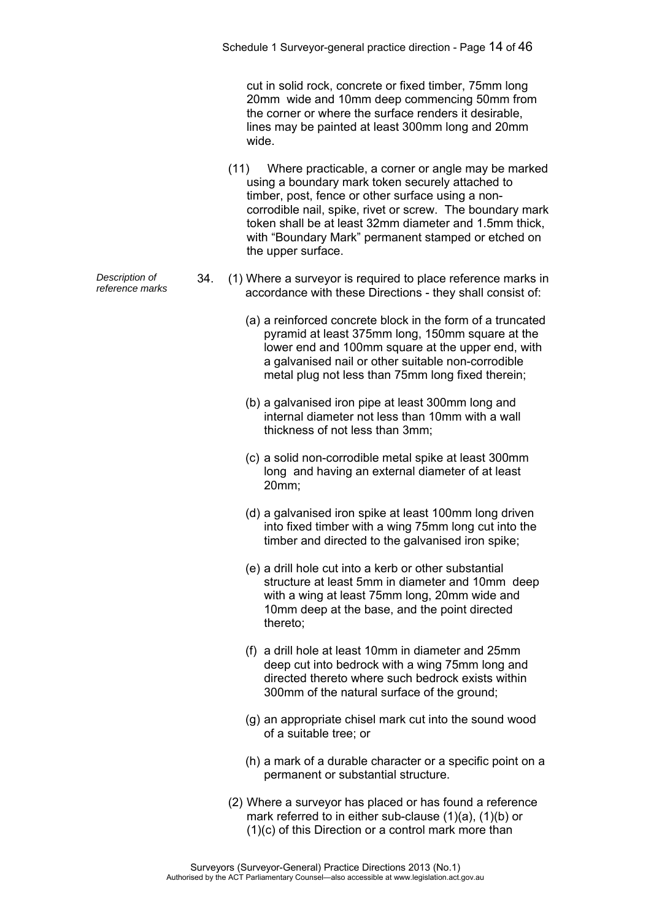cut in solid rock, concrete or fixed timber, 75mm long 20mm wide and 10mm deep commencing 50mm from the corner or where the surface renders it desirable, lines may be painted at least 300mm long and 20mm wide.

- (11) Where practicable, a corner or angle may be marked using a boundary mark token securely attached to timber, post, fence or other surface using a noncorrodible nail, spike, rivet or screw. The boundary mark token shall be at least 32mm diameter and 1.5mm thick, with "Boundary Mark" permanent stamped or etched on the upper surface.
- *Pescription of* 34. (1) Where a surveyor is required to place reference marks in reference marks in 2000 2000 2000 with these Directions they chall consist of accordance with these Directions - they shall consist of:
	- (a) a reinforced concrete block in the form of a truncated pyramid at least 375mm long, 150mm square at the lower end and 100mm square at the upper end, with a galvanised nail or other suitable non-corrodible metal plug not less than 75mm long fixed therein;
	- (b) a galvanised iron pipe at least 300mm long and internal diameter not less than 10mm with a wall thickness of not less than 3mm;
	- (c) a solid non-corrodible metal spike at least 300mm long and having an external diameter of at least 20mm;
	- (d) a galvanised iron spike at least 100mm long driven into fixed timber with a wing 75mm long cut into the timber and directed to the galvanised iron spike;
	- (e) a drill hole cut into a kerb or other substantial structure at least 5mm in diameter and 10mm deep with a wing at least 75mm long, 20mm wide and 10mm deep at the base, and the point directed thereto;
	- (f) a drill hole at least 10mm in diameter and 25mm deep cut into bedrock with a wing 75mm long and directed thereto where such bedrock exists within 300mm of the natural surface of the ground;
	- (g) an appropriate chisel mark cut into the sound wood of a suitable tree; or
	- (h) a mark of a durable character or a specific point on a permanent or substantial structure.
	- (2) Where a surveyor has placed or has found a reference mark referred to in either sub-clause (1)(a), (1)(b) or (1)(c) of this Direction or a control mark more than

*Description of*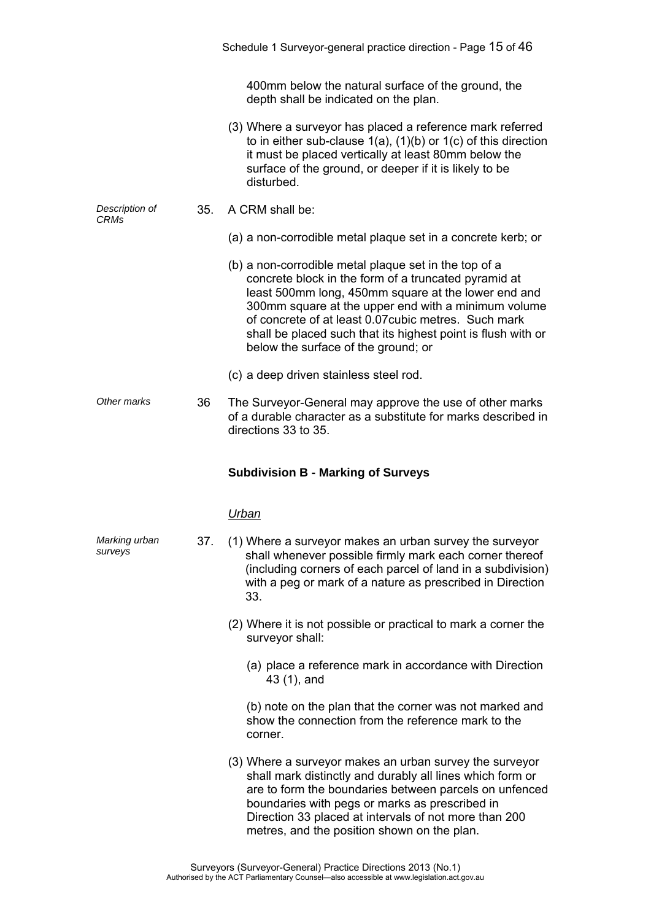|                          |     | Schedule 1 Surveyor-general practice direction - Page 15 of 46                                                                                                                                                                                                                                                                                                                             |
|--------------------------|-----|--------------------------------------------------------------------------------------------------------------------------------------------------------------------------------------------------------------------------------------------------------------------------------------------------------------------------------------------------------------------------------------------|
|                          |     | 400mm below the natural surface of the ground, the<br>depth shall be indicated on the plan.                                                                                                                                                                                                                                                                                                |
|                          |     | (3) Where a surveyor has placed a reference mark referred<br>to in either sub-clause $1(a)$ , $(1)(b)$ or $1(c)$ of this direction<br>it must be placed vertically at least 80mm below the<br>surface of the ground, or deeper if it is likely to be<br>disturbed.                                                                                                                         |
| Description of<br>CRMs   | 35. | A CRM shall be:                                                                                                                                                                                                                                                                                                                                                                            |
|                          |     | (a) a non-corrodible metal plaque set in a concrete kerb; or                                                                                                                                                                                                                                                                                                                               |
|                          |     | (b) a non-corrodible metal plaque set in the top of a<br>concrete block in the form of a truncated pyramid at<br>least 500mm long, 450mm square at the lower end and<br>300mm square at the upper end with a minimum volume<br>of concrete of at least 0.07 cubic metres. Such mark<br>shall be placed such that its highest point is flush with or<br>below the surface of the ground; or |
|                          |     | (c) a deep driven stainless steel rod.                                                                                                                                                                                                                                                                                                                                                     |
| Other marks              | 36  | The Surveyor-General may approve the use of other marks<br>of a durable character as a substitute for marks described in<br>directions 33 to 35.                                                                                                                                                                                                                                           |
|                          |     |                                                                                                                                                                                                                                                                                                                                                                                            |
|                          |     | <b>Subdivision B - Marking of Surveys</b>                                                                                                                                                                                                                                                                                                                                                  |
|                          |     | Urban                                                                                                                                                                                                                                                                                                                                                                                      |
| Marking urban<br>surveys | 37. | (1) Where a surveyor makes an urban survey the surveyor<br>shall whenever possible firmly mark each corner thereof<br>(including corners of each parcel of land in a subdivision)<br>with a peg or mark of a nature as prescribed in Direction<br>33.                                                                                                                                      |
|                          |     | (2) Where it is not possible or practical to mark a corner the<br>surveyor shall:                                                                                                                                                                                                                                                                                                          |
|                          |     | (a) place a reference mark in accordance with Direction<br>43 (1), and                                                                                                                                                                                                                                                                                                                     |
|                          |     | (b) note on the plan that the corner was not marked and<br>show the connection from the reference mark to the<br>corner.                                                                                                                                                                                                                                                                   |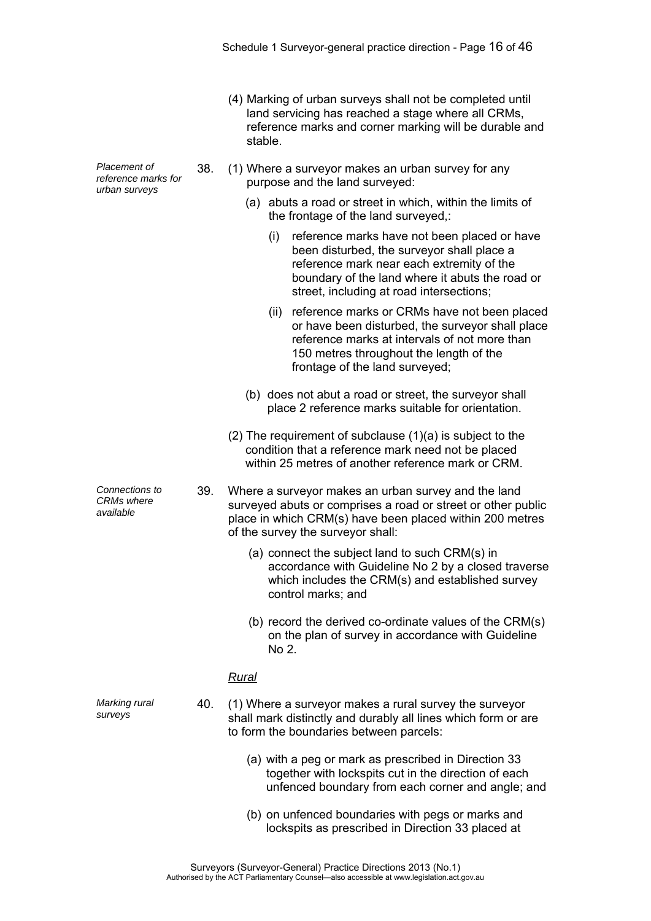- (4) Marking of urban surveys shall not be completed until land servicing has reached a stage where all CRMs, reference marks and corner marking will be durable and stable.
- 38. (1) Where a surveyor makes an urban survey for any purpose and the land surveyed:
	- (a) abuts a road or street in which, within the limits of the frontage of the land surveyed,:
		- (i) reference marks have not been placed or have been disturbed, the surveyor shall place a reference mark near each extremity of the boundary of the land where it abuts the road or street, including at road intersections;
		- (ii) reference marks or CRMs have not been placed or have been disturbed, the surveyor shall place reference marks at intervals of not more than 150 metres throughout the length of the frontage of the land surveyed;
	- (b) does not abut a road or street, the surveyor shall place 2 reference marks suitable for orientation.
	- (2) The requirement of subclause (1)(a) is subject to the condition that a reference mark need not be placed within 25 metres of another reference mark or CRM
- 39. Where a surveyor makes an urban survey and the land surveyed abuts or comprises a road or street or other public place in which CRM(s) have been placed within 200 metres of the survey the surveyor shall:
	- (a) connect the subject land to such CRM(s) in accordance with Guideline No 2 by a closed traverse which includes the CRM(s) and established survey control marks; and
	- (b) record the derived co-ordinate values of the CRM(s) on the plan of survey in accordance with Guideline No 2.

#### *Rural*

- 40. (1) Where a surveyor makes a rural survey the surveyor shall mark distinctly and durably all lines which form or are to form the boundaries between parcels:
	- (a) with a peg or mark as prescribed in Direction 33 together with lockspits cut in the direction of each unfenced boundary from each corner and angle; and
	- (b) on unfenced boundaries with pegs or marks and lockspits as prescribed in Direction 33 placed at

*Placement of reference marks for urban surveys* 

*Connections to CRMs where available* 

*Marking rural surveys*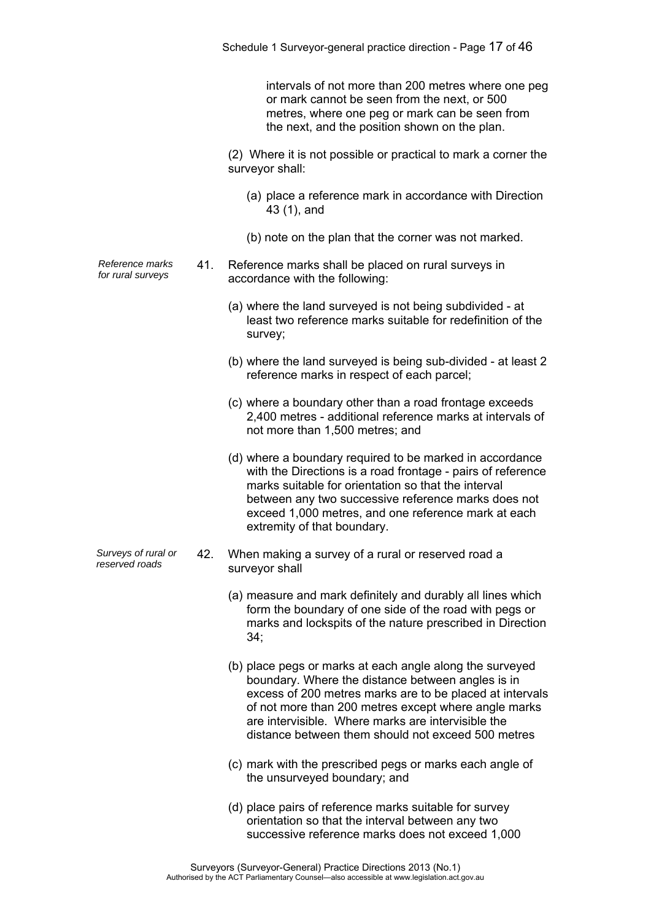intervals of not more than 200 metres where one peg or mark cannot be seen from the next, or 500 metres, where one peg or mark can be seen from the next, and the position shown on the plan.

 (2) Where it is not possible or practical to mark a corner the surveyor shall:

- (a) place a reference mark in accordance with Direction 43 (1), and
- (b) note on the plan that the corner was not marked.
- *Reference marks for rural surveys* 41. Reference marks shall be placed on rural surveys in accordance with the following:
	- (a) where the land surveyed is not being subdivided at least two reference marks suitable for redefinition of the survey;
	- (b) where the land surveyed is being sub-divided at least 2 reference marks in respect of each parcel;
	- (c) where a boundary other than a road frontage exceeds 2,400 metres - additional reference marks at intervals of not more than 1,500 metres; and
	- (d) where a boundary required to be marked in accordance with the Directions is a road frontage - pairs of reference marks suitable for orientation so that the interval between any two successive reference marks does not exceed 1,000 metres, and one reference mark at each extremity of that boundary.
- *Surveys of rural or reserved roads* 42. When making a survey of a rural or reserved road a surveyor shall
	- (a) measure and mark definitely and durably all lines which form the boundary of one side of the road with pegs or marks and lockspits of the nature prescribed in Direction 34;
	- (b) place pegs or marks at each angle along the surveyed boundary. Where the distance between angles is in excess of 200 metres marks are to be placed at intervals of not more than 200 metres except where angle marks are intervisible. Where marks are intervisible the distance between them should not exceed 500 metres
	- (c) mark with the prescribed pegs or marks each angle of the unsurveyed boundary; and
	- (d) place pairs of reference marks suitable for survey orientation so that the interval between any two successive reference marks does not exceed 1,000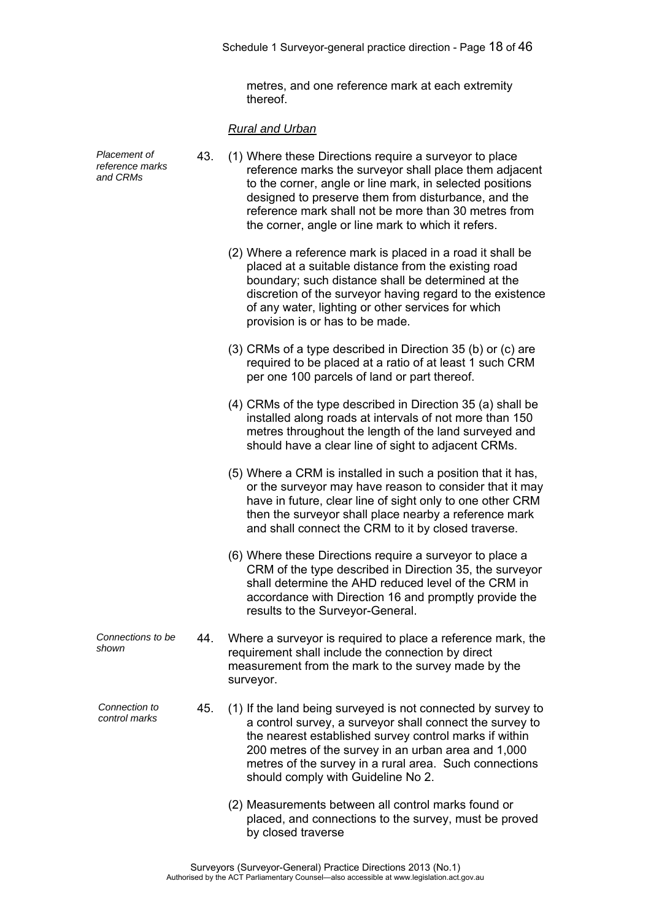metres, and one reference mark at each extremity thereof.

# *Rural and Urban*

| Placement of<br>reference marks<br>and CRMs | 43. | (1) Where these Directions require a surveyor to place<br>reference marks the surveyor shall place them adjacent<br>to the corner, angle or line mark, in selected positions<br>designed to preserve them from disturbance, and the<br>reference mark shall not be more than 30 metres from<br>the corner, angle or line mark to which it refers. |
|---------------------------------------------|-----|---------------------------------------------------------------------------------------------------------------------------------------------------------------------------------------------------------------------------------------------------------------------------------------------------------------------------------------------------|
|                                             |     | (2) Where a reference mark is placed in a road it shall be<br>placed at a suitable distance from the existing road<br>boundary; such distance shall be determined at the<br>discretion of the surveyor having regard to the existence<br>of any water, lighting or other services for which<br>provision is or has to be made.                    |
|                                             |     | (3) CRMs of a type described in Direction 35 (b) or (c) are<br>required to be placed at a ratio of at least 1 such CRM<br>per one 100 parcels of land or part thereof.                                                                                                                                                                            |
|                                             |     | (4) CRMs of the type described in Direction 35 (a) shall be<br>installed along roads at intervals of not more than 150<br>metres throughout the length of the land surveyed and<br>should have a clear line of sight to adjacent CRMs.                                                                                                            |
|                                             |     | (5) Where a CRM is installed in such a position that it has,<br>or the surveyor may have reason to consider that it may<br>have in future, clear line of sight only to one other CRM<br>then the surveyor shall place nearby a reference mark<br>and shall connect the CRM to it by closed traverse.                                              |
|                                             |     | (6) Where these Directions require a surveyor to place a<br>CRM of the type described in Direction 35, the surveyor<br>shall determine the AHD reduced level of the CRM in<br>accordance with Direction 16 and promptly provide the<br>results to the Surveyor-General.                                                                           |
| Connections to be<br>shown                  | 44. | Where a surveyor is required to place a reference mark, the<br>requirement shall include the connection by direct<br>measurement from the mark to the survey made by the<br>surveyor.                                                                                                                                                             |
| Connection to<br>control marks              | 45. | (1) If the land being surveyed is not connected by survey to<br>a control survey, a surveyor shall connect the survey to<br>the nearest established survey control marks if within<br>200 metres of the survey in an urban area and 1,000<br>metres of the survey in a rural area. Such connections<br>should comply with Guideline No 2.         |
|                                             |     | (2) Measurements between all control marks found or<br>placed, and connections to the survey, must be proved<br>by closed traverse                                                                                                                                                                                                                |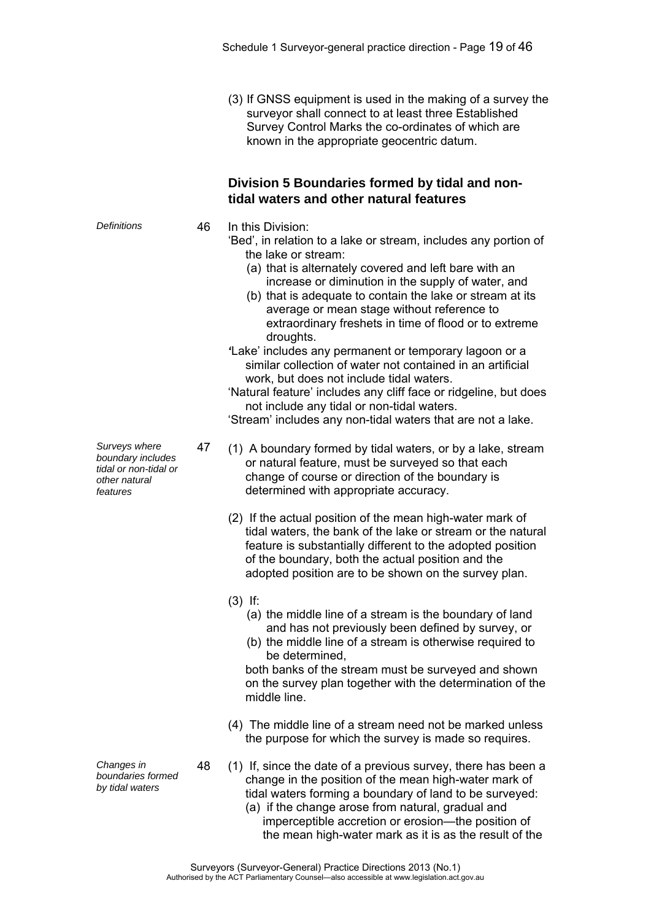(3) If GNSS equipment is used in the making of a survey the surveyor shall connect to at least three Established Survey Control Marks the co-ordinates of which are known in the appropriate geocentric datum.

### **Division 5 Boundaries formed by tidal and nontidal waters and other natural features**

*Definitions* 46 In this Division:

- 'Bed', in relation to a lake or stream, includes any portion of the lake or stream:
	- (a) that is alternately covered and left bare with an increase or diminution in the supply of water, and
	- (b) that is adequate to contain the lake or stream at its average or mean stage without reference to extraordinary freshets in time of flood or to extreme droughts.
- *'*Lake' includes any permanent or temporary lagoon or a similar collection of water not contained in an artificial work, but does not include tidal waters.

'Natural feature' includes any cliff face or ridgeline, but does not include any tidal or non-tidal waters.

'Stream' includes any non-tidal waters that are not a lake.

- 47 (1) A boundary formed by tidal waters, or by a lake, stream or natural feature, must be surveyed so that each change of course or direction of the boundary is determined with appropriate accuracy.
	- (2) If the actual position of the mean high-water mark of tidal waters, the bank of the lake or stream or the natural feature is substantially different to the adopted position of the boundary, both the actual position and the adopted position are to be shown on the survey plan.
	- (3) If:
		- (a) the middle line of a stream is the boundary of land and has not previously been defined by survey, or
		- (b) the middle line of a stream is otherwise required to be determined,

both banks of the stream must be surveyed and shown on the survey plan together with the determination of the middle line.

- (4) The middle line of a stream need not be marked unless the purpose for which the survey is made so requires.
- 48 (1) If, since the date of a previous survey, there has been a change in the position of the mean high-water mark of tidal waters forming a boundary of land to be surveyed:
	- (a) if the change arose from natural, gradual and imperceptible accretion or erosion—the position of the mean high-water mark as it is as the result of the

*Surveys where boundary includes tidal or non-tidal or other natural features* 

*Changes in boundaries formed by tidal waters*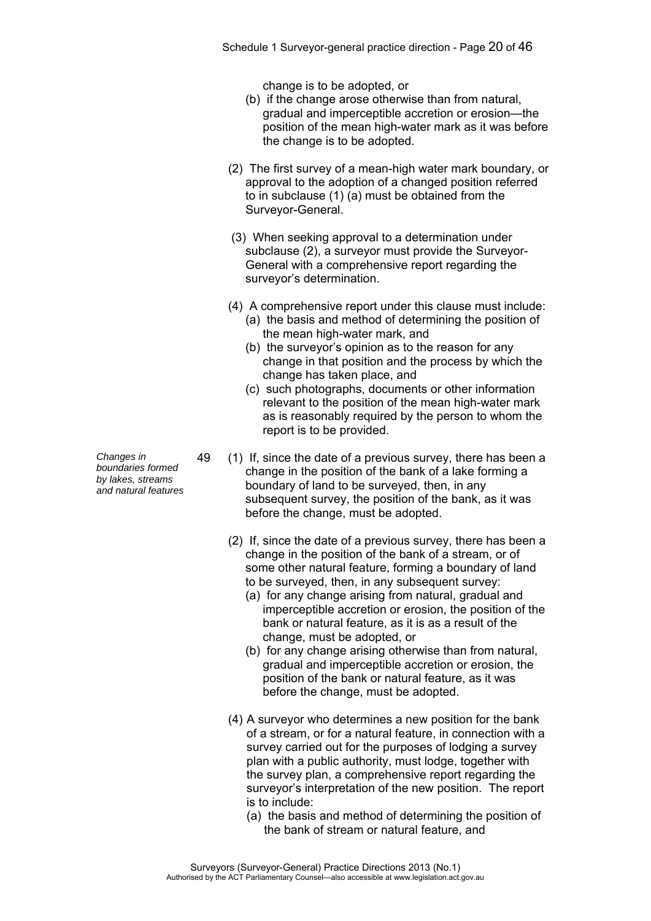change is to be adopted, or

- (b) if the change arose otherwise than from natural, gradual and imperceptible accretion or erosion—the position of the mean high-water mark as it was before the change is to be adopted.
- (2) The first survey of a mean-high water mark boundary, or approval to the adoption of a changed position referred to in subclause (1) (a) must be obtained from the Surveyor-General.
- (3) When seeking approval to a determination under subclause (2), a surveyor must provide the Surveyor-General with a comprehensive report regarding the surveyor's determination.
- (4) A comprehensive report under this clause must include:
	- (a) the basis and method of determining the position of the mean high-water mark, and
	- (b) the surveyor's opinion as to the reason for any change in that position and the process by which the change has taken place, and
	- (c) such photographs, documents or other information relevant to the position of the mean high-water mark as is reasonably required by the person to whom the report is to be provided.
- 49 (1) If, since the date of a previous survey, there has been a change in the position of the bank of a lake forming a boundary of land to be surveyed, then, in any subsequent survey, the position of the bank, as it was before the change, must be adopted.
	- (2) If, since the date of a previous survey, there has been a change in the position of the bank of a stream, or of some other natural feature, forming a boundary of land to be surveyed, then, in any subsequent survey:
		- (a) for any change arising from natural, gradual and imperceptible accretion or erosion, the position of the bank or natural feature, as it is as a result of the change, must be adopted, or
		- (b) for any change arising otherwise than from natural, gradual and imperceptible accretion or erosion, the position of the bank or natural feature, as it was before the change, must be adopted.
	- (4) A surveyor who determines a new position for the bank of a stream, or for a natural feature, in connection with a survey carried out for the purposes of lodging a survey plan with a public authority, must lodge, together with the survey plan, a comprehensive report regarding the surveyor's interpretation of the new position. The report is to include:
		- (a) the basis and method of determining the position of the bank of stream or natural feature, and

*Changes in boundaries formed by lakes, streams* 

*and natural features*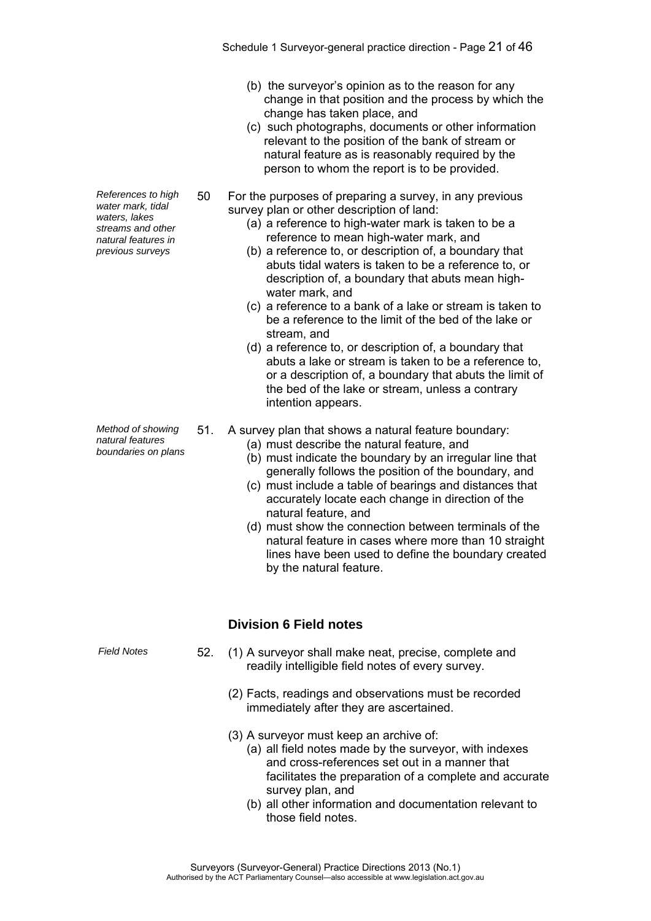- (b) the surveyor's opinion as to the reason for any change in that position and the process by which the change has taken place, and
- (c) such photographs, documents or other information relevant to the position of the bank of stream or natural feature as is reasonably required by the person to whom the report is to be provided.
- 50 For the purposes of preparing a survey, in any previous survey plan or other description of land:
	- (a) a reference to high-water mark is taken to be a reference to mean high-water mark, and
	- (b) a reference to, or description of, a boundary that abuts tidal waters is taken to be a reference to, or description of, a boundary that abuts mean highwater mark, and
	- (c) a reference to a bank of a lake or stream is taken to be a reference to the limit of the bed of the lake or stream, and
	- (d) a reference to, or description of, a boundary that abuts a lake or stream is taken to be a reference to, or a description of, a boundary that abuts the limit of the bed of the lake or stream, unless a contrary intention appears.
- 51. A survey plan that shows a natural feature boundary:
	- (a) must describe the natural feature, and
	- (b) must indicate the boundary by an irregular line that generally follows the position of the boundary, and
	- (c) must include a table of bearings and distances that accurately locate each change in direction of the natural feature, and
	- (d) must show the connection between terminals of the natural feature in cases where more than 10 straight lines have been used to define the boundary created by the natural feature.

### **Division 6 Field notes**

- *Field Notes* 52. (1) A surveyor shall make neat, precise, complete and readily intelligible field notes of every survey.
	- (2) Facts, readings and observations must be recorded immediately after they are ascertained.
	- (3) A surveyor must keep an archive of:
		- (a) all field notes made by the surveyor, with indexes and cross-references set out in a manner that facilitates the preparation of a complete and accurate survey plan, and
		- (b) all other information and documentation relevant to those field notes.

*References to high water mark, tidal waters, lakes streams and other natural features in previous surveys* 

*Method of showing natural features boundaries on plans*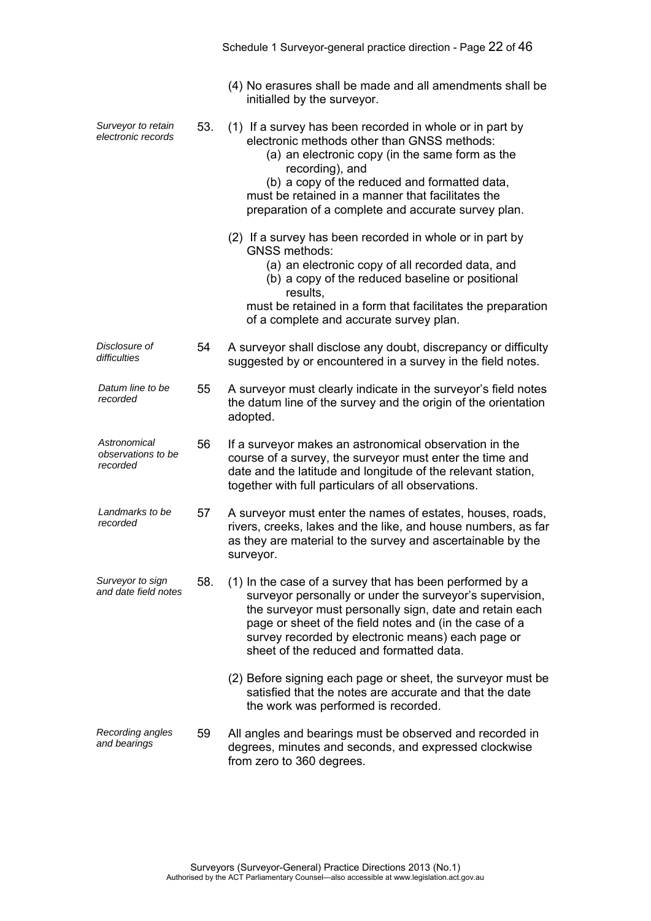|                                                |     | (4) No erasures shall be made and all amendments shall be<br>initialled by the surveyor.                                                                                                                                                                                                                                                   |
|------------------------------------------------|-----|--------------------------------------------------------------------------------------------------------------------------------------------------------------------------------------------------------------------------------------------------------------------------------------------------------------------------------------------|
| Surveyor to retain<br>electronic records       | 53. | (1) If a survey has been recorded in whole or in part by<br>electronic methods other than GNSS methods:<br>(a) an electronic copy (in the same form as the<br>recording), and<br>(b) a copy of the reduced and formatted data,<br>must be retained in a manner that facilitates the<br>preparation of a complete and accurate survey plan. |
|                                                |     | (2) If a survey has been recorded in whole or in part by<br><b>GNSS methods:</b><br>(a) an electronic copy of all recorded data, and<br>(b) a copy of the reduced baseline or positional<br>results.<br>must be retained in a form that facilitates the preparation<br>of a complete and accurate survey plan.                             |
| Disclosure of<br>difficulties                  | 54  | A surveyor shall disclose any doubt, discrepancy or difficulty<br>suggested by or encountered in a survey in the field notes.                                                                                                                                                                                                              |
| Datum line to be<br>recorded                   | 55  | A surveyor must clearly indicate in the surveyor's field notes<br>the datum line of the survey and the origin of the orientation<br>adopted.                                                                                                                                                                                               |
| Astronomical<br>observations to be<br>recorded | 56  | If a surveyor makes an astronomical observation in the<br>course of a survey, the surveyor must enter the time and<br>date and the latitude and longitude of the relevant station,<br>together with full particulars of all observations.                                                                                                  |
| Landmarks to be<br>recorded                    | 57  | A surveyor must enter the names of estates, houses, roads,<br>rivers, creeks, lakes and the like, and house numbers, as far<br>as they are material to the survey and ascertainable by the<br>surveyor.                                                                                                                                    |
| Surveyor to sign<br>and date field notes       | 58. | (1) In the case of a survey that has been performed by a<br>surveyor personally or under the surveyor's supervision,<br>the surveyor must personally sign, date and retain each<br>page or sheet of the field notes and (in the case of a<br>survey recorded by electronic means) each page or<br>sheet of the reduced and formatted data. |
|                                                |     | (2) Before signing each page or sheet, the surveyor must be<br>satisfied that the notes are accurate and that the date<br>the work was performed is recorded.                                                                                                                                                                              |
| Recording angles<br>and bearings               | 59  | All angles and bearings must be observed and recorded in<br>degrees, minutes and seconds, and expressed clockwise<br>from zero to 360 degrees.                                                                                                                                                                                             |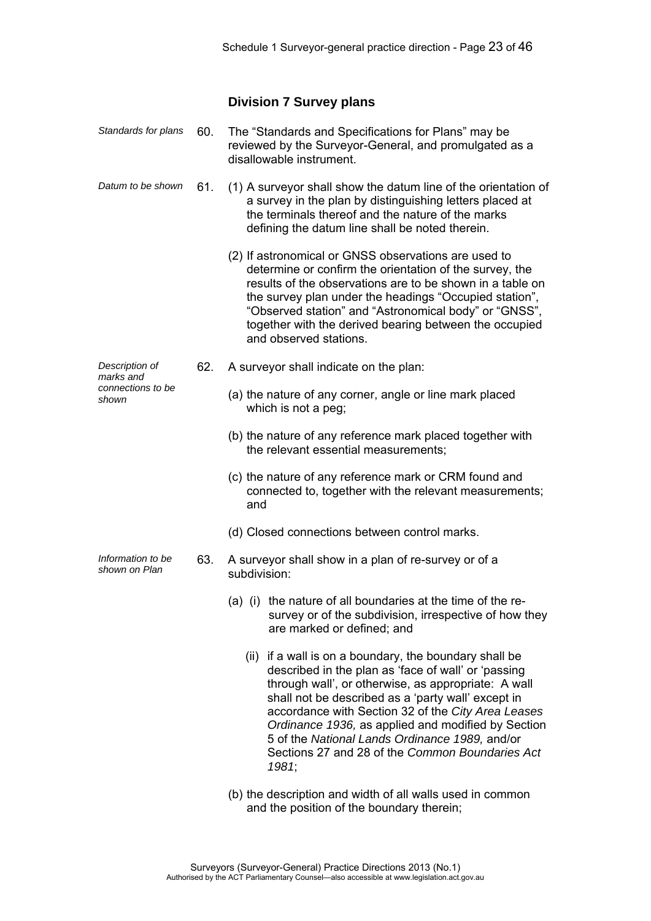### **Division 7 Survey plans**

| Standards for plans                | 60. | The "Standards and Specifications for Plans" may be<br>reviewed by the Surveyor-General, and promulgated as a<br>disallowable instrument.                                                                                                                                                                                                                                                                                                            |
|------------------------------------|-----|------------------------------------------------------------------------------------------------------------------------------------------------------------------------------------------------------------------------------------------------------------------------------------------------------------------------------------------------------------------------------------------------------------------------------------------------------|
| Datum to be shown                  | 61. | (1) A surveyor shall show the datum line of the orientation of<br>a survey in the plan by distinguishing letters placed at<br>the terminals thereof and the nature of the marks<br>defining the datum line shall be noted therein.                                                                                                                                                                                                                   |
|                                    |     | (2) If astronomical or GNSS observations are used to<br>determine or confirm the orientation of the survey, the<br>results of the observations are to be shown in a table on<br>the survey plan under the headings "Occupied station",<br>"Observed station" and "Astronomical body" or "GNSS",<br>together with the derived bearing between the occupied<br>and observed stations.                                                                  |
| Description of<br>marks and        | 62. | A surveyor shall indicate on the plan:                                                                                                                                                                                                                                                                                                                                                                                                               |
| connections to be<br>shown         |     | (a) the nature of any corner, angle or line mark placed<br>which is not a peg;                                                                                                                                                                                                                                                                                                                                                                       |
|                                    |     | (b) the nature of any reference mark placed together with<br>the relevant essential measurements;                                                                                                                                                                                                                                                                                                                                                    |
|                                    |     | (c) the nature of any reference mark or CRM found and<br>connected to, together with the relevant measurements;<br>and                                                                                                                                                                                                                                                                                                                               |
|                                    |     | (d) Closed connections between control marks.                                                                                                                                                                                                                                                                                                                                                                                                        |
| Information to be<br>shown on Plan | 63. | A surveyor shall show in a plan of re-survey or of a<br>subdivision:                                                                                                                                                                                                                                                                                                                                                                                 |
|                                    |     | (a) (i) the nature of all boundaries at the time of the re-<br>survey or of the subdivision, irrespective of how they<br>are marked or defined; and                                                                                                                                                                                                                                                                                                  |
|                                    |     | (ii) if a wall is on a boundary, the boundary shall be<br>described in the plan as 'face of wall' or 'passing<br>through wall', or otherwise, as appropriate: A wall<br>shall not be described as a 'party wall' except in<br>accordance with Section 32 of the City Area Leases<br>Ordinance 1936, as applied and modified by Section<br>5 of the National Lands Ordinance 1989, and/or<br>Sections 27 and 28 of the Common Boundaries Act<br>1981; |
|                                    |     |                                                                                                                                                                                                                                                                                                                                                                                                                                                      |

 (b) the description and width of all walls used in common and the position of the boundary therein;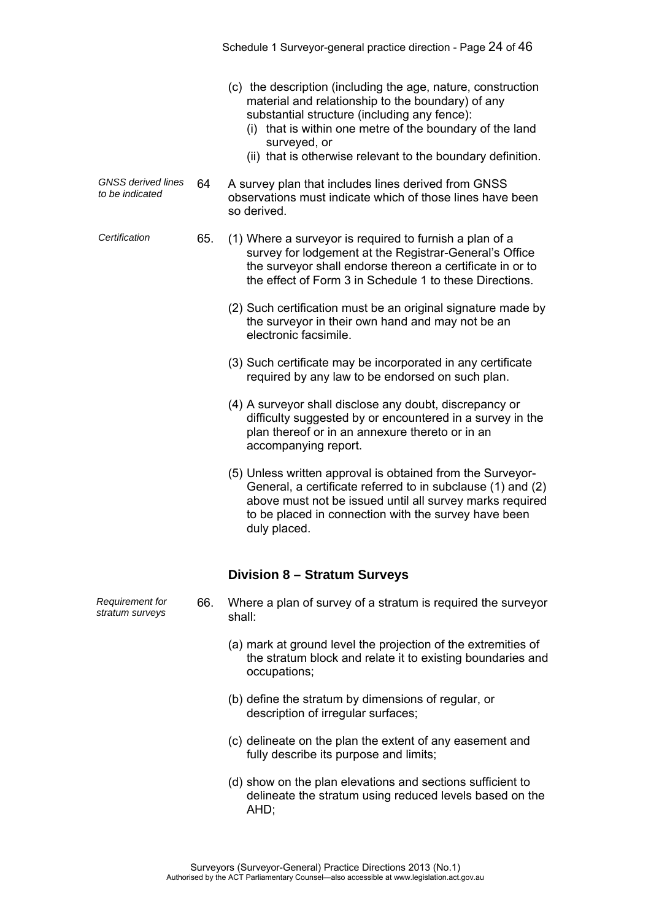- (c) the description (including the age, nature, construction material and relationship to the boundary) of any substantial structure (including any fence):
	- (i) that is within one metre of the boundary of the land surveyed, or
	- (ii) that is otherwise relevant to the boundary definition.
- *GNSS derived lines to be indicated* 64 A survey plan that includes lines derived from GNSS observations must indicate which of those lines have been so derived.
- *Certification* 65. (1) Where a surveyor is required to furnish a plan of a survey for lodgement at the Registrar-General's Office the surveyor shall endorse thereon a certificate in or to the effect of Form 3 in Schedule 1 to these Directions.
	- (2) Such certification must be an original signature made by the surveyor in their own hand and may not be an electronic facsimile.
	- (3) Such certificate may be incorporated in any certificate required by any law to be endorsed on such plan.
	- (4) A surveyor shall disclose any doubt, discrepancy or difficulty suggested by or encountered in a survey in the plan thereof or in an annexure thereto or in an accompanying report.
	- (5) Unless written approval is obtained from the Surveyor-General, a certificate referred to in subclause (1) and (2) above must not be issued until all survey marks required to be placed in connection with the survey have been duly placed.

### **Division 8 – Stratum Surveys**

- *Requirement for stratum surveys*  66. Where a plan of survey of a stratum is required the surveyor shall:
	- (a) mark at ground level the projection of the extremities of the stratum block and relate it to existing boundaries and occupations;
	- (b) define the stratum by dimensions of regular, or description of irregular surfaces;
	- (c) delineate on the plan the extent of any easement and fully describe its purpose and limits;
	- (d) show on the plan elevations and sections sufficient to delineate the stratum using reduced levels based on the AHD;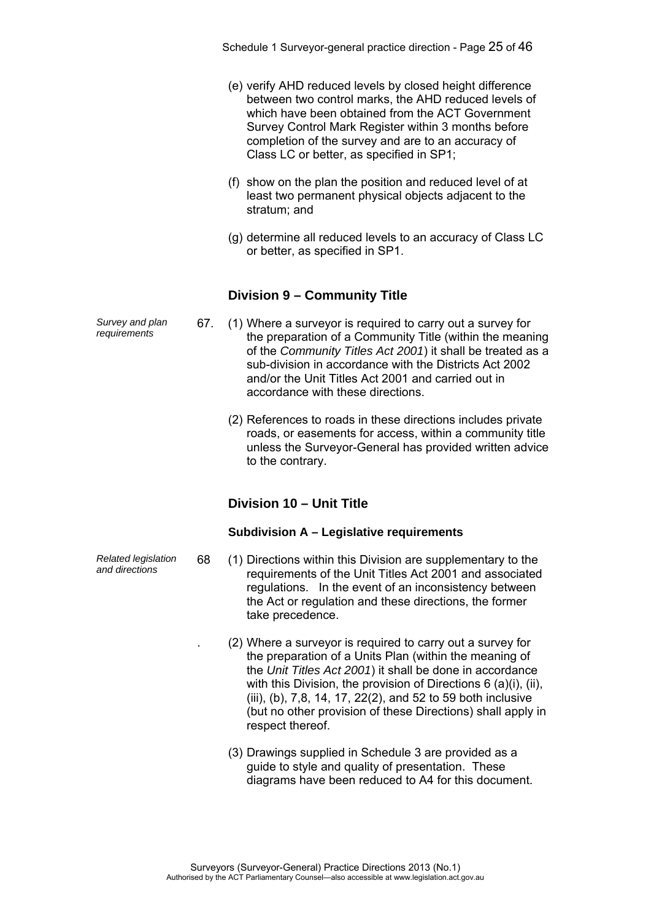- (e) verify AHD reduced levels by closed height difference between two control marks, the AHD reduced levels of which have been obtained from the ACT Government Survey Control Mark Register within 3 months before completion of the survey and are to an accuracy of Class LC or better, as specified in SP1;
- (f) show on the plan the position and reduced level of at least two permanent physical objects adjacent to the stratum; and
- (g) determine all reduced levels to an accuracy of Class LC or better, as specified in SP1.

### **Division 9 – Community Title**

- *requirements* 67. (1) Where a surveyor is required to carry out a survey for the preparation of a Community Title (within the meaning of the *Community Titles Act 2001*) it shall be treated as a sub-division in accordance with the Districts Act 2002 and/or the Unit Titles Act 2001 and carried out in accordance with these directions.
	- (2) References to roads in these directions includes private roads, or easements for access, within a community title unless the Surveyor-General has provided written advice to the contrary.

# **Division 10 – Unit Title**

#### **Subdivision A – Legislative requirements**

- *and directions* 68 (1) Directions within this Division are supplementary to the requirements of the Unit Titles Act 2001 and associated regulations. In the event of an inconsistency between the Act or regulation and these directions, the former take precedence.
	- . (2) Where a surveyor is required to carry out a survey for the preparation of a Units Plan (within the meaning of the *Unit Titles Act 2001*) it shall be done in accordance with this Division, the provision of Directions 6 (a)(i), (ii), (iii), (b), 7,8, 14, 17, 22(2), and 52 to 59 both inclusive (but no other provision of these Directions) shall apply in respect thereof.
	- (3) Drawings supplied in Schedule 3 are provided as a guide to style and quality of presentation. These diagrams have been reduced to A4 for this document.

*Survey and plan* 

*Related legislation*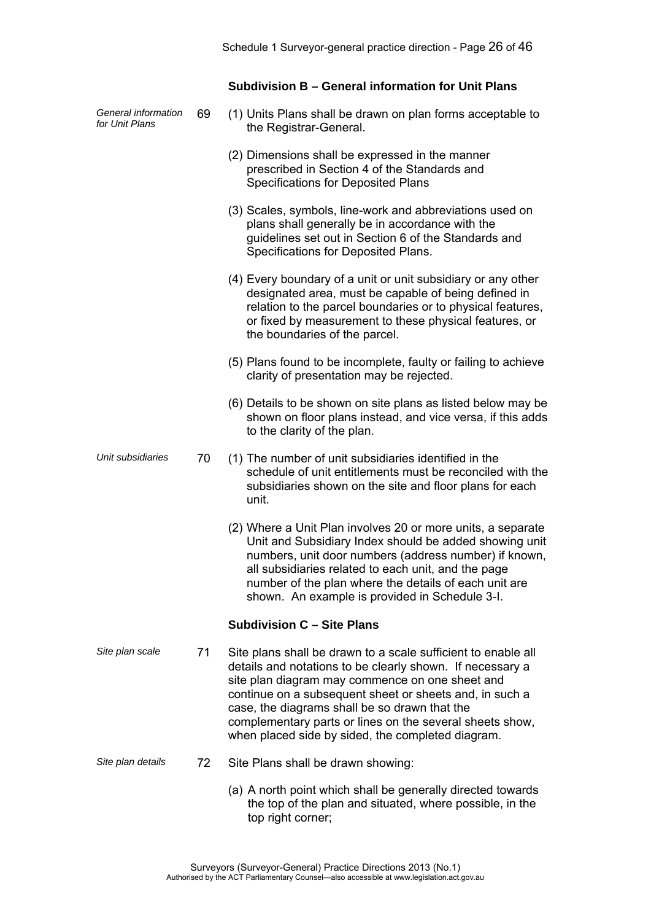### **Subdivision B – General information for Unit Plans**

| General information<br>for Unit Plans | 69 | (1) Units Plans shall be drawn on plan forms acceptable to<br>the Registrar-General.                                                                                                                                                                                                                                                                                                                       |
|---------------------------------------|----|------------------------------------------------------------------------------------------------------------------------------------------------------------------------------------------------------------------------------------------------------------------------------------------------------------------------------------------------------------------------------------------------------------|
|                                       |    | (2) Dimensions shall be expressed in the manner<br>prescribed in Section 4 of the Standards and<br><b>Specifications for Deposited Plans</b>                                                                                                                                                                                                                                                               |
|                                       |    | (3) Scales, symbols, line-work and abbreviations used on<br>plans shall generally be in accordance with the<br>guidelines set out in Section 6 of the Standards and<br>Specifications for Deposited Plans.                                                                                                                                                                                                 |
|                                       |    | (4) Every boundary of a unit or unit subsidiary or any other<br>designated area, must be capable of being defined in<br>relation to the parcel boundaries or to physical features,<br>or fixed by measurement to these physical features, or<br>the boundaries of the parcel.                                                                                                                              |
|                                       |    | (5) Plans found to be incomplete, faulty or failing to achieve<br>clarity of presentation may be rejected.                                                                                                                                                                                                                                                                                                 |
|                                       |    | (6) Details to be shown on site plans as listed below may be<br>shown on floor plans instead, and vice versa, if this adds<br>to the clarity of the plan.                                                                                                                                                                                                                                                  |
| Unit subsidiaries                     | 70 | (1) The number of unit subsidiaries identified in the<br>schedule of unit entitlements must be reconciled with the<br>subsidiaries shown on the site and floor plans for each<br>unit.                                                                                                                                                                                                                     |
|                                       |    | (2) Where a Unit Plan involves 20 or more units, a separate<br>Unit and Subsidiary Index should be added showing unit<br>numbers, unit door numbers (address number) if known,<br>all subsidiaries related to each unit, and the page<br>number of the plan where the details of each unit are<br>shown. An example is provided in Schedule 3-I.                                                           |
|                                       |    | <b>Subdivision C - Site Plans</b>                                                                                                                                                                                                                                                                                                                                                                          |
| Site plan scale                       | 71 | Site plans shall be drawn to a scale sufficient to enable all<br>details and notations to be clearly shown. If necessary a<br>site plan diagram may commence on one sheet and<br>continue on a subsequent sheet or sheets and, in such a<br>case, the diagrams shall be so drawn that the<br>complementary parts or lines on the several sheets show,<br>when placed side by sided, the completed diagram. |
| Site plan details                     | 72 | Site Plans shall be drawn showing:                                                                                                                                                                                                                                                                                                                                                                         |
|                                       |    | (a) A north point which shall be generally directed towards                                                                                                                                                                                                                                                                                                                                                |

the top of the plan and situated, where possible, in the

Surveyors (Surveyor-General) Practice Directions 2013 (No.1) Authorised by the ACT Parliamentary Counsel—also accessible at www.legislation.act.gov.au

top right corner;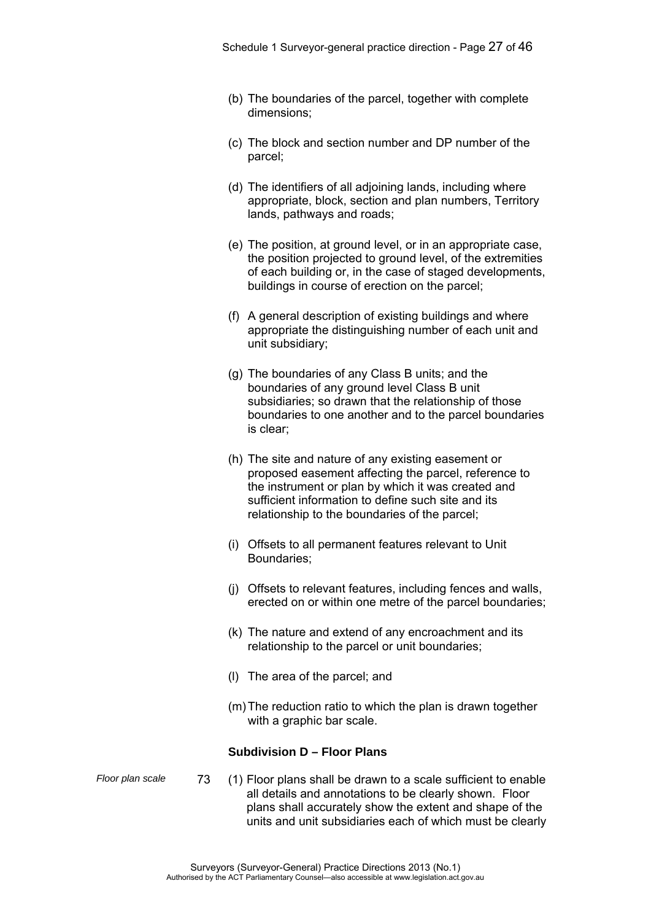- (b) The boundaries of the parcel, together with complete dimensions;
- (c) The block and section number and DP number of the parcel;
- (d) The identifiers of all adjoining lands, including where appropriate, block, section and plan numbers, Territory lands, pathways and roads;
- (e) The position, at ground level, or in an appropriate case, the position projected to ground level, of the extremities of each building or, in the case of staged developments, buildings in course of erection on the parcel;
- (f) A general description of existing buildings and where appropriate the distinguishing number of each unit and unit subsidiary;
- (g) The boundaries of any Class B units; and the boundaries of any ground level Class B unit subsidiaries; so drawn that the relationship of those boundaries to one another and to the parcel boundaries is clear;
- (h) The site and nature of any existing easement or proposed easement affecting the parcel, reference to the instrument or plan by which it was created and sufficient information to define such site and its relationship to the boundaries of the parcel;
- (i) Offsets to all permanent features relevant to Unit Boundaries;
- (j) Offsets to relevant features, including fences and walls, erected on or within one metre of the parcel boundaries;
- (k) The nature and extend of any encroachment and its relationship to the parcel or unit boundaries;
- (l) The area of the parcel; and
- (m) The reduction ratio to which the plan is drawn together with a graphic bar scale.

#### **Subdivision D – Floor Plans**

- 
- *Floor plan scale* 73 (1) Floor plans shall be drawn to a scale sufficient to enable all details and annotations to be clearly shown. Floor plans shall accurately show the extent and shape of the units and unit subsidiaries each of which must be clearly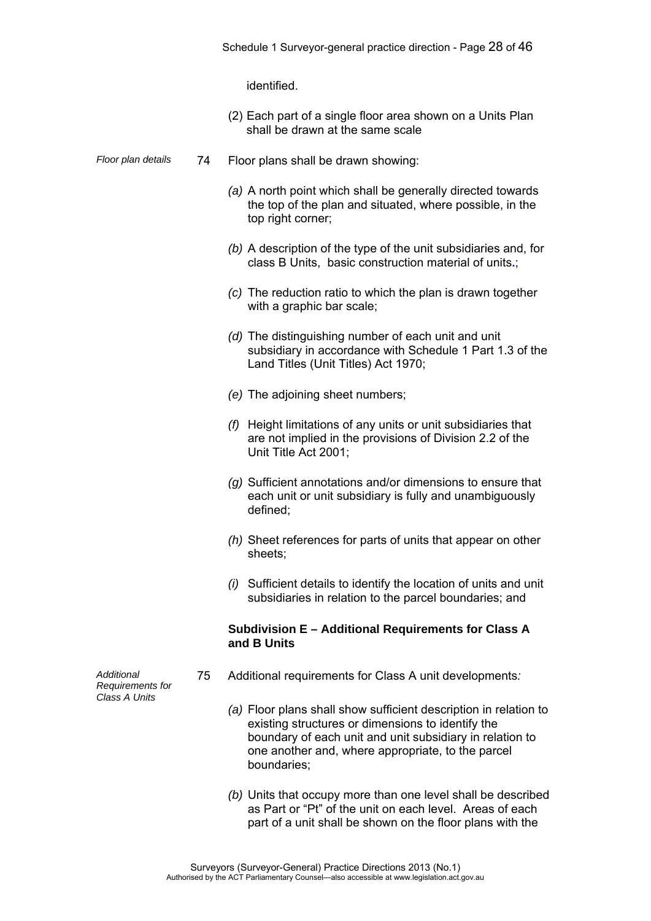identified.

- (2) Each part of a single floor area shown on a Units Plan shall be drawn at the same scale
- *Floor plan details* 74 Floor plans shall be drawn showing:
	- *(a)* A north point which shall be generally directed towards the top of the plan and situated, where possible, in the top right corner;
	- *(b)* A description of the type of the unit subsidiaries and, for class B Units, basic construction material of units**.**;
	- *(c)* The reduction ratio to which the plan is drawn together with a graphic bar scale;
	- *(d)* The distinguishing number of each unit and unit subsidiary in accordance with Schedule 1 Part 1.3 of the Land Titles (Unit Titles) Act 1970;
	- *(e)* The adjoining sheet numbers;
	- *(f)* Height limitations of any units or unit subsidiaries that are not implied in the provisions of Division 2.2 of the Unit Title Act 2001;
	- *(g)* Sufficient annotations and/or dimensions to ensure that each unit or unit subsidiary is fully and unambiguously defined;
	- *(h)* Sheet references for parts of units that appear on other sheets;
	- *(i)* Sufficient details to identify the location of units and unit subsidiaries in relation to the parcel boundaries; and

#### **Subdivision E – Additional Requirements for Class A and B Units**

- 75 Additional requirements for Class A unit developments*:* 
	- *(a)* Floor plans shall show sufficient description in relation to existing structures or dimensions to identify the boundary of each unit and unit subsidiary in relation to one another and, where appropriate, to the parcel boundaries;
	- *(b)* Units that occupy more than one level shall be described as Part or "Pt" of the unit on each level. Areas of each part of a unit shall be shown on the floor plans with the

*Additional Requirements for Class A Units*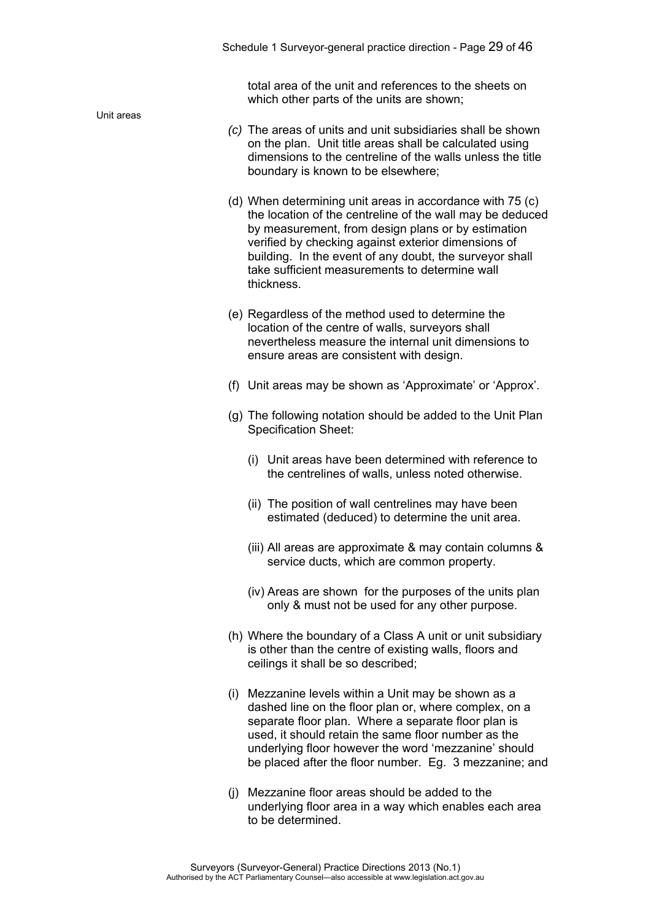total area of the unit and references to the sheets on which other parts of the units are shown;

- *(c)* The areas of units and unit subsidiaries shall be shown on the plan. Unit title areas shall be calculated using dimensions to the centreline of the walls unless the title boundary is known to be elsewhere;
- (d) When determining unit areas in accordance with 75 (c) the location of the centreline of the wall may be deduced by measurement, from design plans or by estimation verified by checking against exterior dimensions of building. In the event of any doubt, the surveyor shall take sufficient measurements to determine wall thickness.
- (e) Regardless of the method used to determine the location of the centre of walls, surveyors shall nevertheless measure the internal unit dimensions to ensure areas are consistent with design.
- (f) Unit areas may be shown as 'Approximate' or 'Approx'.
- (g) The following notation should be added to the Unit Plan Specification Sheet:
	- (i) Unit areas have been determined with reference to the centrelines of walls, unless noted otherwise.
	- (ii) The position of wall centrelines may have been estimated (deduced) to determine the unit area.
	- (iii) All areas are approximate & may contain columns & service ducts, which are common property.
	- (iv) Areas are shown for the purposes of the units plan only & must not be used for any other purpose.
- (h) Where the boundary of a Class A unit or unit subsidiary is other than the centre of existing walls, floors and ceilings it shall be so described;
- (i) Mezzanine levels within a Unit may be shown as a dashed line on the floor plan or, where complex, on a separate floor plan. Where a separate floor plan is used, it should retain the same floor number as the underlying floor however the word 'mezzanine' should be placed after the floor number. Eg. 3 mezzanine; and
- (j) Mezzanine floor areas should be added to the underlying floor area in a way which enables each area to be determined.

Unit areas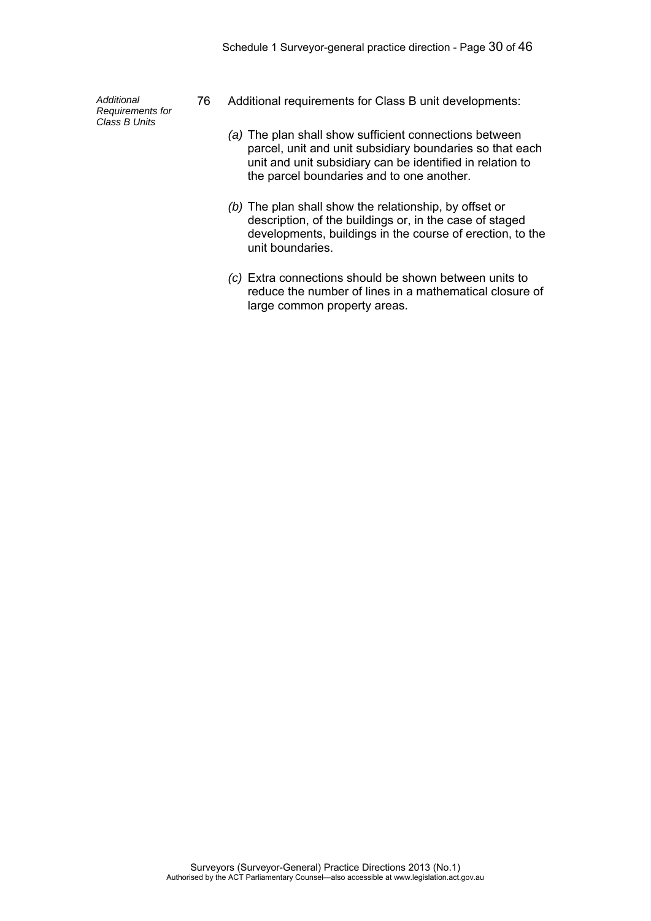*Additional Requirements for Class B Units* 

- 76 Additional requirements for Class B unit developments:
	- *(a)* The plan shall show sufficient connections between parcel, unit and unit subsidiary boundaries so that each unit and unit subsidiary can be identified in relation to the parcel boundaries and to one another.
	- *(b)* The plan shall show the relationship, by offset or description, of the buildings or, in the case of staged developments, buildings in the course of erection, to the unit boundaries.
	- *(c)* Extra connections should be shown between units to reduce the number of lines in a mathematical closure of large common property areas.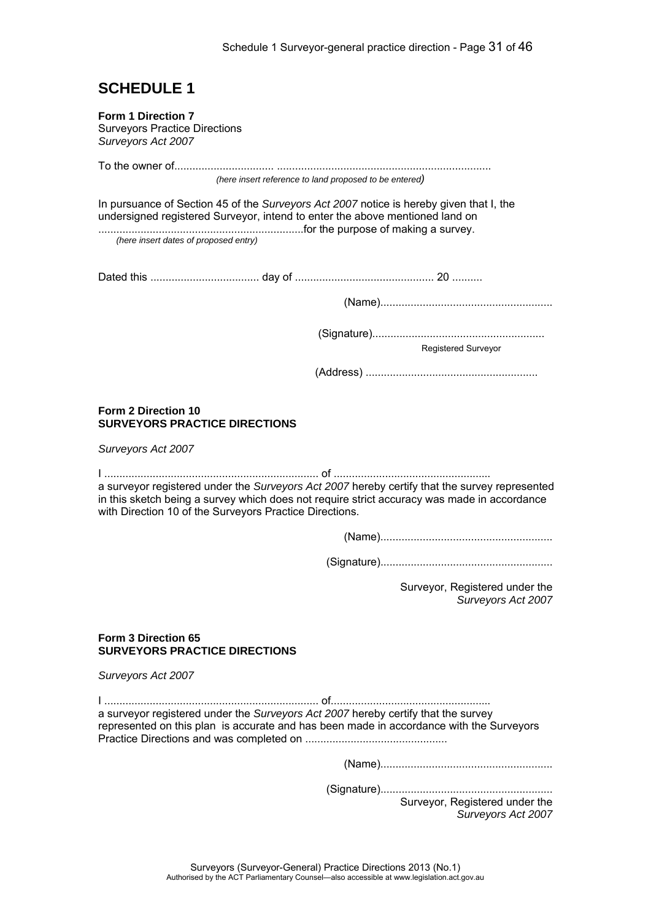# **SCHEDULE 1**

| (here insert reference to land proposed to be entered)<br>(here insert dates of proposed entry)                                                                                                                                                         |  |
|---------------------------------------------------------------------------------------------------------------------------------------------------------------------------------------------------------------------------------------------------------|--|
|                                                                                                                                                                                                                                                         |  |
| In pursuance of Section 45 of the Surveyors Act 2007 notice is hereby given that I, the<br>undersigned registered Surveyor, intend to enter the above mentioned land on                                                                                 |  |
|                                                                                                                                                                                                                                                         |  |
|                                                                                                                                                                                                                                                         |  |
|                                                                                                                                                                                                                                                         |  |
|                                                                                                                                                                                                                                                         |  |
| <b>Registered Surveyor</b>                                                                                                                                                                                                                              |  |
|                                                                                                                                                                                                                                                         |  |
| Form 2 Direction 10<br><b>SURVEYORS PRACTICE DIRECTIONS</b>                                                                                                                                                                                             |  |
| Surveyors Act 2007                                                                                                                                                                                                                                      |  |
| a surveyor registered under the Surveyors Act 2007 hereby certify that the survey represented<br>in this sketch being a survey which does not require strict accuracy was made in accordance<br>with Direction 10 of the Surveyors Practice Directions. |  |
|                                                                                                                                                                                                                                                         |  |
|                                                                                                                                                                                                                                                         |  |
| Surveyor, Registered under the<br>Surveyors Act 2007                                                                                                                                                                                                    |  |
| Form 3 Direction 65<br><b>SURVEYORS PRACTICE DIRECTIONS</b>                                                                                                                                                                                             |  |
| Surveyors Act 2007                                                                                                                                                                                                                                      |  |
| a surveyor registered under the Surveyors Act 2007 hereby certify that the survey<br>represented on this plan is accurate and has been made in accordance with the Surveyors                                                                            |  |
|                                                                                                                                                                                                                                                         |  |
| Surveyor, Registered under the<br>Surveyors Act 2007                                                                                                                                                                                                    |  |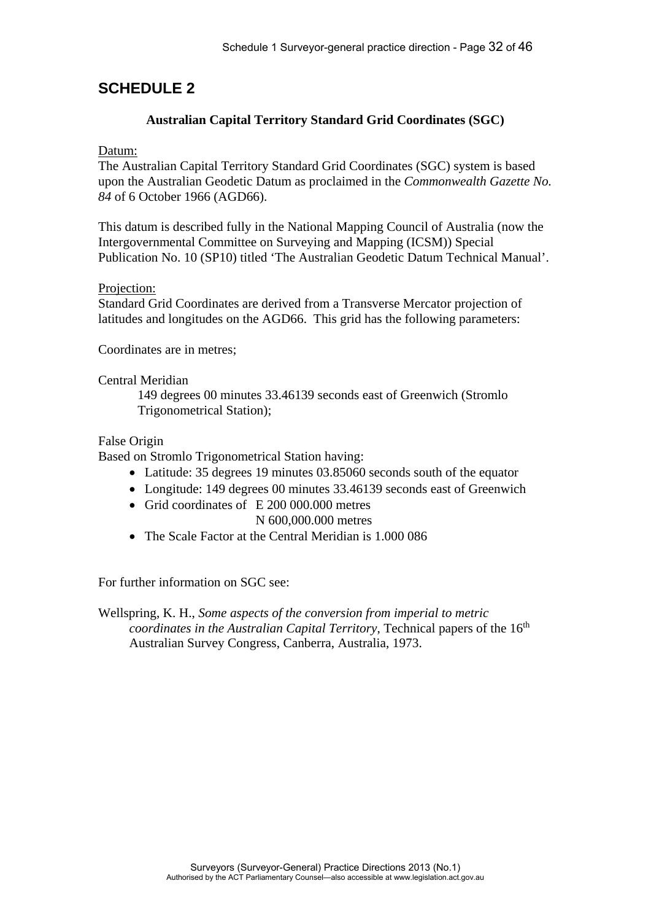# **SCHEDULE 2**

### **Australian Capital Territory Standard Grid Coordinates (SGC)**

### Datum:

The Australian Capital Territory Standard Grid Coordinates (SGC) system is based upon the Australian Geodetic Datum as proclaimed in the *Commonwealth Gazette No. 84* of 6 October 1966 (AGD66).

This datum is described fully in the National Mapping Council of Australia (now the Intergovernmental Committee on Surveying and Mapping (ICSM)) Special Publication No. 10 (SP10) titled 'The Australian Geodetic Datum Technical Manual'.

### Projection:

Standard Grid Coordinates are derived from a Transverse Mercator projection of latitudes and longitudes on the AGD66. This grid has the following parameters:

Coordinates are in metres;

### Central Meridian

149 degrees 00 minutes 33.46139 seconds east of Greenwich (Stromlo Trigonometrical Station);

### False Origin

Based on Stromlo Trigonometrical Station having:

- Latitude: 35 degrees 19 minutes 03.85060 seconds south of the equator
- Longitude: 149 degrees 00 minutes 33.46139 seconds east of Greenwich
- Grid coordinates of E 200 000.000 metres N 600,000.000 metres
- The Scale Factor at the Central Meridian is 1.000 086

For further information on SGC see:

Wellspring, K. H., *Some aspects of the conversion from imperial to metric coordinates in the Australian Capital Territory*, Technical papers of the 16<sup>th</sup> Australian Survey Congress, Canberra, Australia, 1973.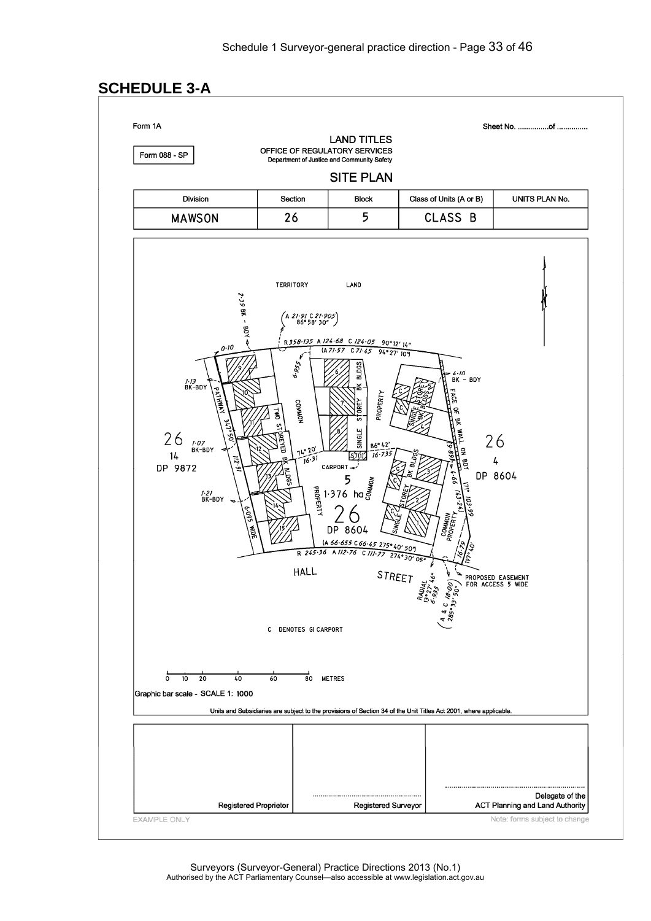# **SCHEDULE 3-A**

Form 1A

Sheet No. ................of ...............

Form 088 - SP

Department of Justice and Community Safety **SITE PLAN** 

OFFICE OF REGULATORY SERVICES

**LAND TITLES** 

| Division      | Section | <b>Block</b> | Class of Units (A or B) | UNITS PLAN No. |
|---------------|---------|--------------|-------------------------|----------------|
| <b>MAWSON</b> | ۷٥      |              | CLASS                   |                |

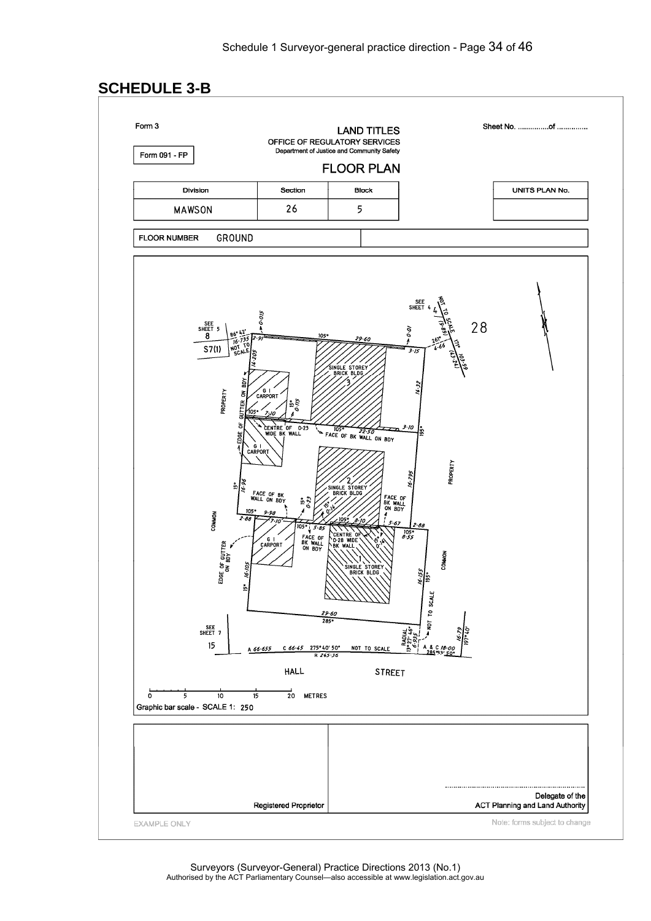# **SCHEDULE 3-B**

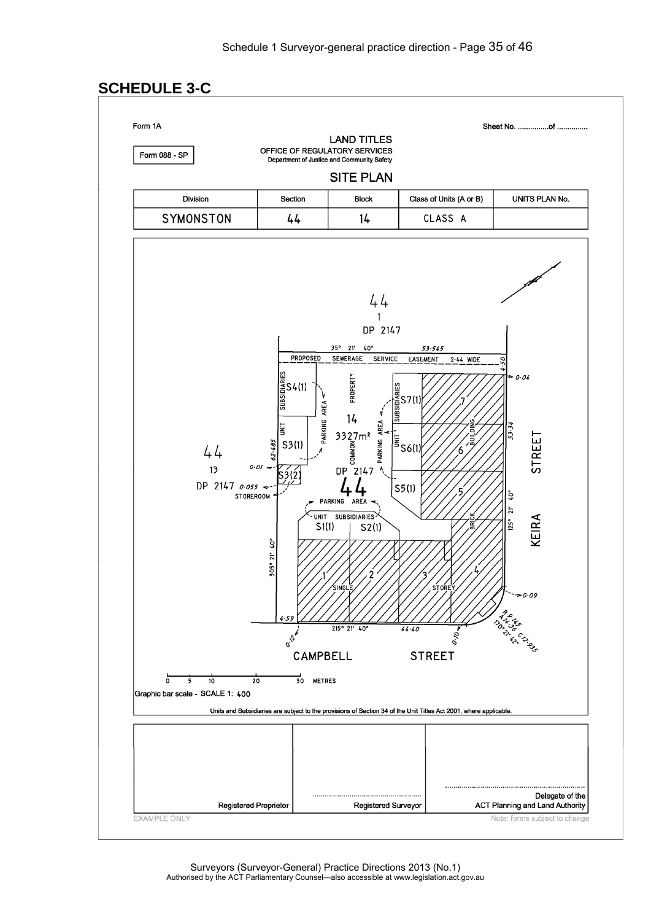# **SCHEDULE 3-C**

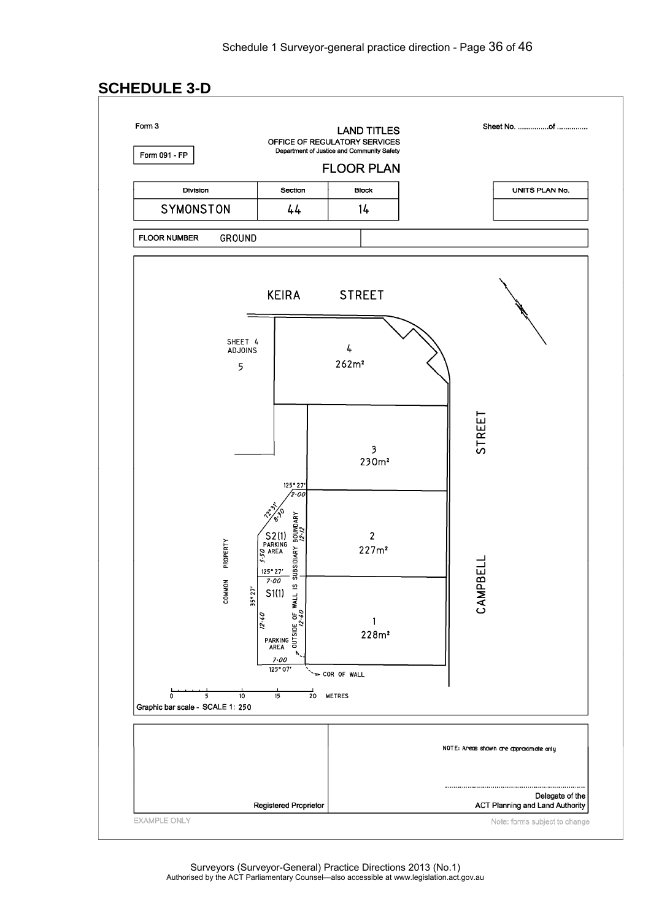# **SCHEDULE 3-D**

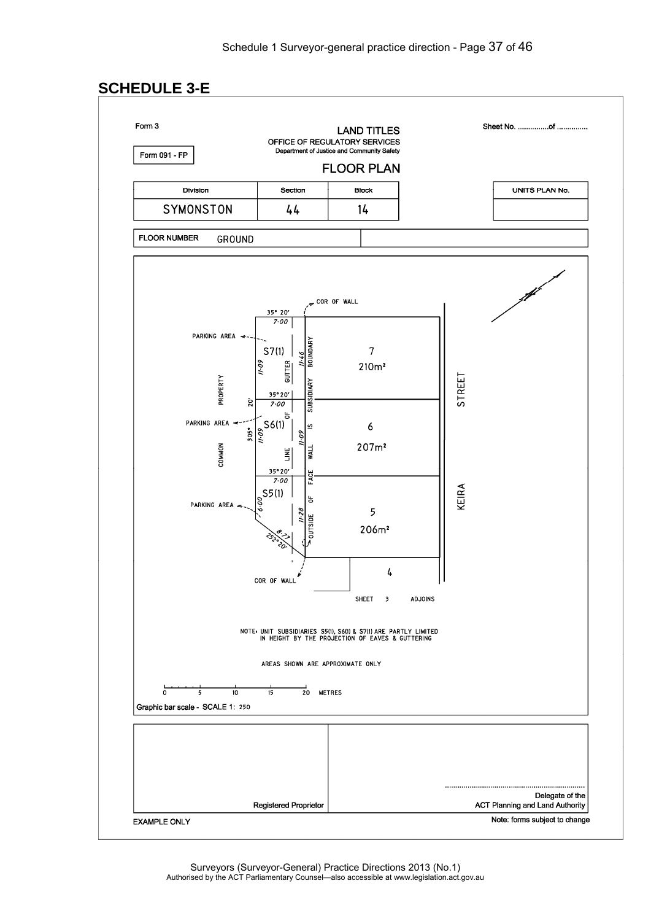# **SCHEDULE 3-E**

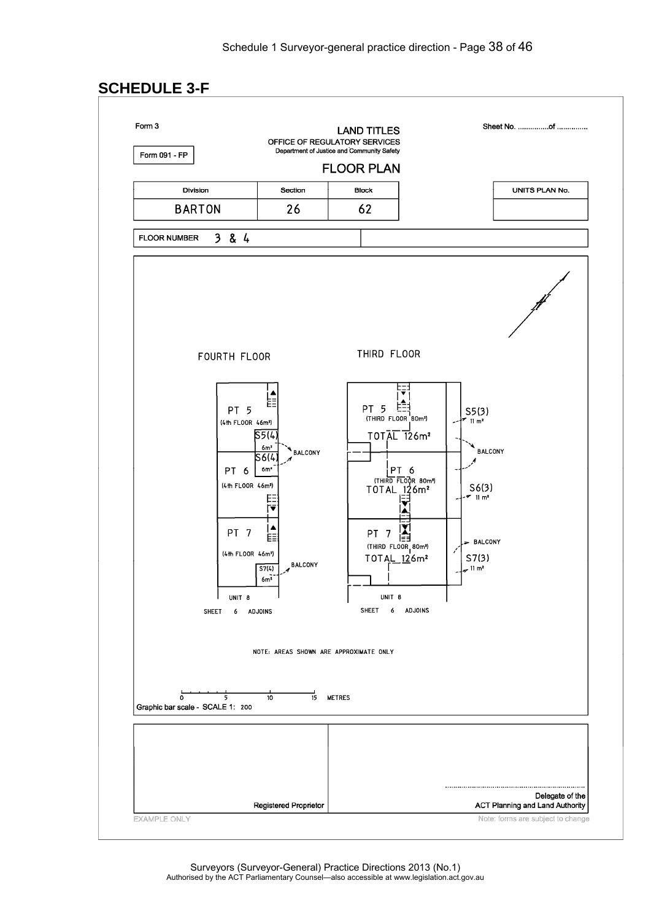# **SCHEDULE 3-F**

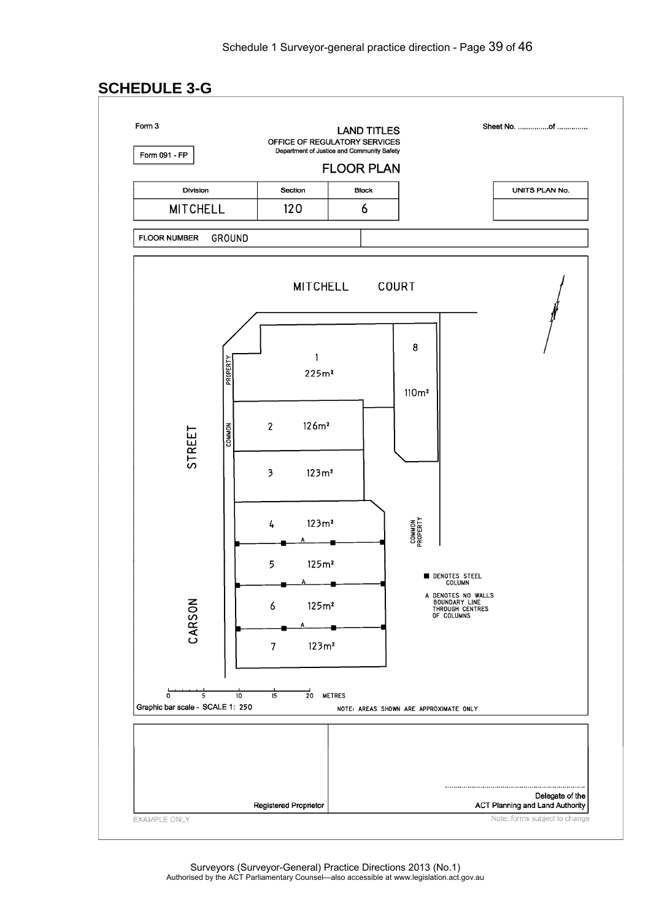# **SCHEDULE 3-G**

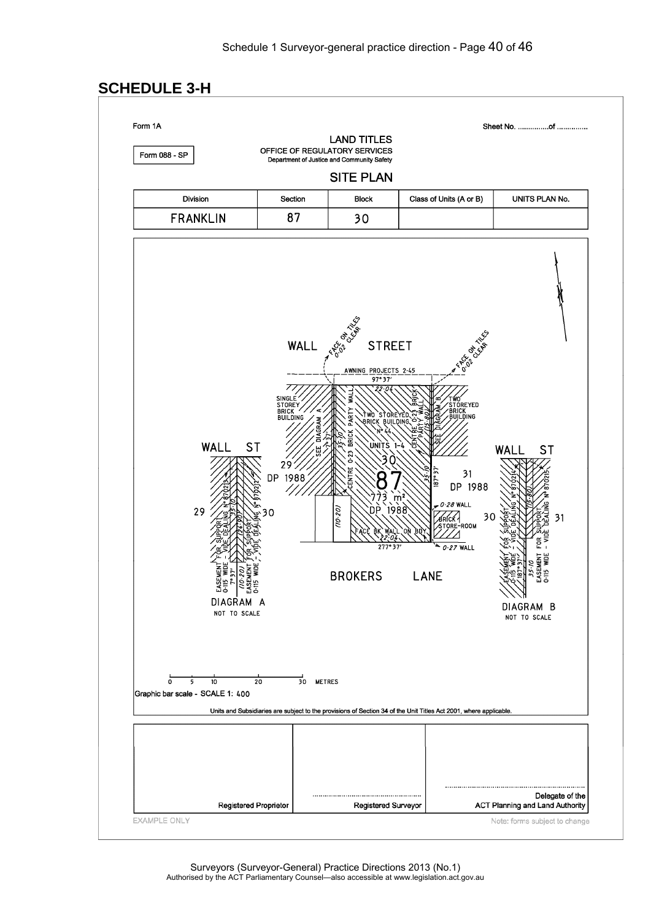Sheet No. ................of ...............

# **SCHEDULE 3-H**

Form 1A

Form 088 - SP

**LAND TITLES** OFFICE OF REGULATORY SERVICES

Department of Justice and Community Safety

### **SITE PLAN**

| <b>Division</b> | Section | <b>Block</b> | Class of Units (A or B) | UNITS PLAN No. |
|-----------------|---------|--------------|-------------------------|----------------|
| <b>FRANKLIN</b> | ר מ     | ה ב          |                         |                |

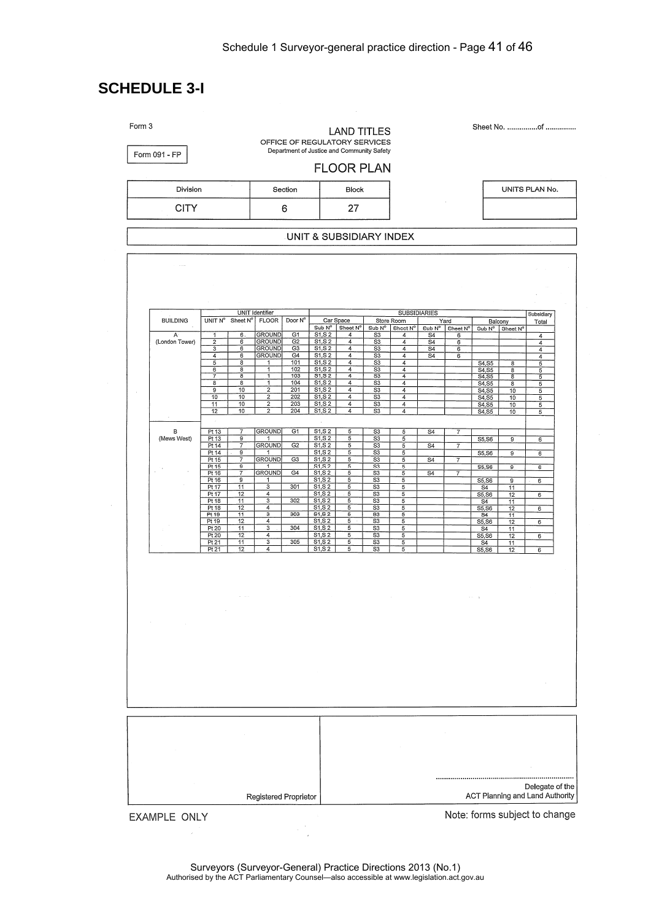# **SCHEDULE 3-I**

|                                |                                                                                     |                                                                                                  |                                                        | <b>FLOOR PLAN</b>                                                    |                                                                                                              |                                                         |                                                                        |                                           |                                                |                                                                               |                                                         |
|--------------------------------|-------------------------------------------------------------------------------------|--------------------------------------------------------------------------------------------------|--------------------------------------------------------|----------------------------------------------------------------------|--------------------------------------------------------------------------------------------------------------|---------------------------------------------------------|------------------------------------------------------------------------|-------------------------------------------|------------------------------------------------|-------------------------------------------------------------------------------|---------------------------------------------------------|
| Division                       |                                                                                     | Section                                                                                          |                                                        | <b>Block</b>                                                         |                                                                                                              |                                                         |                                                                        |                                           |                                                | UNITS PLAN No.                                                                |                                                         |
| <b>CITY</b>                    |                                                                                     | 6                                                                                                |                                                        | 27                                                                   |                                                                                                              |                                                         |                                                                        |                                           |                                                |                                                                               |                                                         |
|                                |                                                                                     |                                                                                                  | UNIT & SUBSIDIARY INDEX                                |                                                                      |                                                                                                              |                                                         |                                                                        |                                           |                                                |                                                                               |                                                         |
|                                |                                                                                     |                                                                                                  |                                                        |                                                                      |                                                                                                              |                                                         |                                                                        |                                           |                                                |                                                                               |                                                         |
| <b>BUILDING</b>                | UNIT N° Sheet N°                                                                    | <b>UNIT Identifier</b><br><b>FLOOR</b><br>Door N°                                                | Sub N°                                                 | Car Space<br>Sheet N°                                                | Sub N°                                                                                                       | <b>SUBSIDIARIES</b><br>Store Room<br>Sheet Nº           |                                                                        | Yard<br>Sub $N^{\circ}$ Sheet $N^{\circ}$ | Balcony<br>Sub N <sup>o</sup>                  | Sheet N°                                                                      | Subsidiary<br>Total                                     |
| $\mathsf{A}$<br>(London Tower) | 6<br>1<br>$\overline{\mathbf{c}}$<br>6<br>$\overline{\mathbf{3}}$<br>6<br>4<br>6    | <b>GROUND</b><br>G1<br><b>GROUND</b><br><b>GROUND</b><br><b>GROUND</b>                           | S1, S2<br>S1, S2<br>G2<br>S1, S2<br>G3<br>S1, S2<br>G4 | $\overline{4}$<br>$\overline{4}$<br>$\overline{4}$<br>$\overline{4}$ | S <sub>3</sub><br>S3<br>$\overline{S3}$<br>S <sub>3</sub>                                                    | 4<br>4<br>4<br>4                                        | S <sub>4</sub><br>$\overline{S4}$<br>S <sub>4</sub><br>$\overline{S4}$ | 6<br>6<br>6<br>6                          |                                                |                                                                               | 4<br>$\overline{4}$<br>$\overline{4}$<br>$\overline{4}$ |
|                                | 5<br>8<br>$\overline{6}$<br>$\overline{\mathbf{8}}$<br>7<br>$\overline{\mathbf{g}}$ | 101<br>1<br>$\overline{1}$<br>102<br>$\overline{\mathbf{1}}$<br>103                              | S1, S2<br>S1, S2<br>\$1,52                             | 4<br>$\overline{4}$<br>$\overline{4}$                                | S3<br>S3<br>$\overline{\mathbf{s}}$                                                                          | 4<br>$\overline{4}$<br>$\overline{4}$                   |                                                                        |                                           | S4, S5<br>S4, S5<br>$rac{1}{54,55}$<br>$54,55$ | $\overline{\mathbf{8}}$<br>$\overline{\mathbf{8}}$<br>$\overline{\mathbf{8}}$ | 5<br>5<br>5                                             |
|                                | $\overline{\mathbf{8}}$<br>8<br>$\overline{9}$<br>10<br>10<br>10<br>11<br>10        | $\overline{1}$<br>104<br>$\overline{2}$<br>201<br>$\overline{2}$<br>202<br>$\overline{2}$<br>203 | S1, S2<br>S1, S2<br>S1, S2<br>S1, S2                   | $\overline{4}$<br>$\overline{4}$<br>4<br>$\overline{4}$              | $\overline{\mathsf{S}3}$<br>$\overline{\mathsf{s}}\overline{\mathsf{s}}$<br>S <sub>3</sub><br>S <sub>3</sub> | $\overline{4}$<br>4<br>$\overline{4}$<br>$\overline{4}$ |                                                                        |                                           | S4, S5<br>S4, S5                               | 8<br>10<br>10                                                                 | 5<br>$\overline{5}$<br>5                                |
|                                | 12<br>10                                                                            | $\overline{2}$<br>204                                                                            | S1, S2                                                 | $\overline{4}$                                                       | S3                                                                                                           | 4                                                       |                                                                        |                                           | S4,S5<br>S4,S5                                 | 10<br>10                                                                      | 5<br>$\overline{5}$                                     |
| в<br>(Mews West)               | Pt 13<br>$\overline{7}$<br>Pt 13<br>g<br>Pt 14<br>$\overline{7}$                    | <b>GROUND</b><br>G1<br><b>GROUND</b><br>G2                                                       | S1, S2<br>S1, S2<br>S1, S2                             | 5<br>5<br>5                                                          | S <sub>3</sub><br>S <sub>3</sub><br>S <sub>3</sub>                                                           | 5<br>5<br>5                                             | $\overline{S4}$<br>$\overline{S4}$                                     | 7<br>$\overline{7}$                       | S5, S6                                         | 9                                                                             | 6                                                       |
|                                | Pt 14<br>G.<br>Pt 15<br>7<br>$\overline{9}$<br>Pt 15<br>Pt 16<br>$\overline{7}$     | 1<br><b>GROUND</b><br>G3<br>1<br><b>GROUND</b><br>G4                                             | S1, S2<br>S1, S2<br>S1, S2<br>S1, S2                   | 5<br>5<br>5<br>5                                                     | S3<br>S3<br>$\overline{S3}$<br>S3                                                                            | 5<br>5<br>5<br>5                                        | S <sub>4</sub><br>$\overline{S4}$                                      | $\overline{7}$<br>7                       | S5, S6<br>S5, S6                               | 9<br>$\overline{9}$                                                           | 6<br>6                                                  |
|                                | 9<br>Pt 16<br>11<br>Pt 17<br>Pt17<br>12                                             | $\mathbf 1$<br>301<br>3<br>$\overline{4}$                                                        | S1, S2<br>S1, S2<br>S1, S2                             | 5<br>5<br>5                                                          | S3<br>S3<br>S3                                                                                               | 5<br>5<br>5                                             |                                                                        |                                           | S5,S6<br>S4<br>S5, S6                          | $\overline{9}$<br>11<br>$\overline{12}$                                       | 6<br>6                                                  |
|                                | Pt 18<br>$\overline{11}$<br>12<br>Pt18<br>Pt 19<br>11<br>12<br>Pt 19                | $\overline{\mathbf{3}}$<br>302<br>$\overline{4}$<br>303<br>3<br>$\overline{4}$                   | S1, S2<br>S1, S2<br>S1, S2<br>S1, S2                   | 5<br>5<br>$\overline{5}$<br>5                                        | S3<br>$\overline{\text{S3}}$<br>S3<br>$\frac{1}{33}$                                                         | 5<br>5<br>5<br>5                                        |                                                                        |                                           | S <sub>4</sub><br>S5, S6<br>S4<br>S5, S6       | 11<br>12<br>$\overline{11}$<br>12                                             | 6<br>6                                                  |
|                                | Pt 20<br>11<br>Pt 20<br>12<br>Pt 21<br>11                                           | 304<br>3<br>4<br>305<br>$\overline{3}$                                                           | S <sub>1</sub> , S <sub>2</sub><br>S1, S2<br>S1, S2    | 5<br>5<br>5                                                          | S3<br>S3<br>$\overline{\text{S}3}$                                                                           | 5<br>5<br>5                                             |                                                                        |                                           | S4<br>S5, S6<br>S <sub>4</sub>                 | 11<br>12<br>11                                                                | 6                                                       |
|                                | Pt 21<br>12                                                                         | 4                                                                                                | S1, S2                                                 | 5                                                                    | S3                                                                                                           | 5                                                       |                                                                        |                                           | S5,S6                                          | 12                                                                            | $\overline{6}$                                          |
|                                |                                                                                     |                                                                                                  |                                                        |                                                                      |                                                                                                              |                                                         |                                                                        |                                           |                                                |                                                                               |                                                         |
|                                |                                                                                     |                                                                                                  |                                                        |                                                                      |                                                                                                              |                                                         |                                                                        | $\sim$                                    | $\rightarrow$                                  |                                                                               |                                                         |
| $\sim$                         |                                                                                     |                                                                                                  |                                                        |                                                                      |                                                                                                              |                                                         |                                                                        |                                           |                                                |                                                                               |                                                         |
|                                |                                                                                     |                                                                                                  |                                                        |                                                                      |                                                                                                              |                                                         |                                                                        |                                           |                                                |                                                                               |                                                         |
|                                |                                                                                     |                                                                                                  |                                                        |                                                                      |                                                                                                              |                                                         |                                                                        |                                           |                                                |                                                                               |                                                         |
|                                |                                                                                     |                                                                                                  |                                                        |                                                                      |                                                                                                              |                                                         |                                                                        |                                           |                                                |                                                                               |                                                         |
|                                |                                                                                     |                                                                                                  |                                                        |                                                                      |                                                                                                              |                                                         |                                                                        |                                           |                                                |                                                                               |                                                         |
|                                |                                                                                     |                                                                                                  |                                                        |                                                                      |                                                                                                              |                                                         |                                                                        |                                           |                                                |                                                                               |                                                         |
|                                |                                                                                     |                                                                                                  |                                                        |                                                                      |                                                                                                              |                                                         |                                                                        |                                           |                                                |                                                                               |                                                         |
|                                |                                                                                     |                                                                                                  |                                                        |                                                                      |                                                                                                              |                                                         |                                                                        |                                           |                                                |                                                                               | Delegate of the                                         |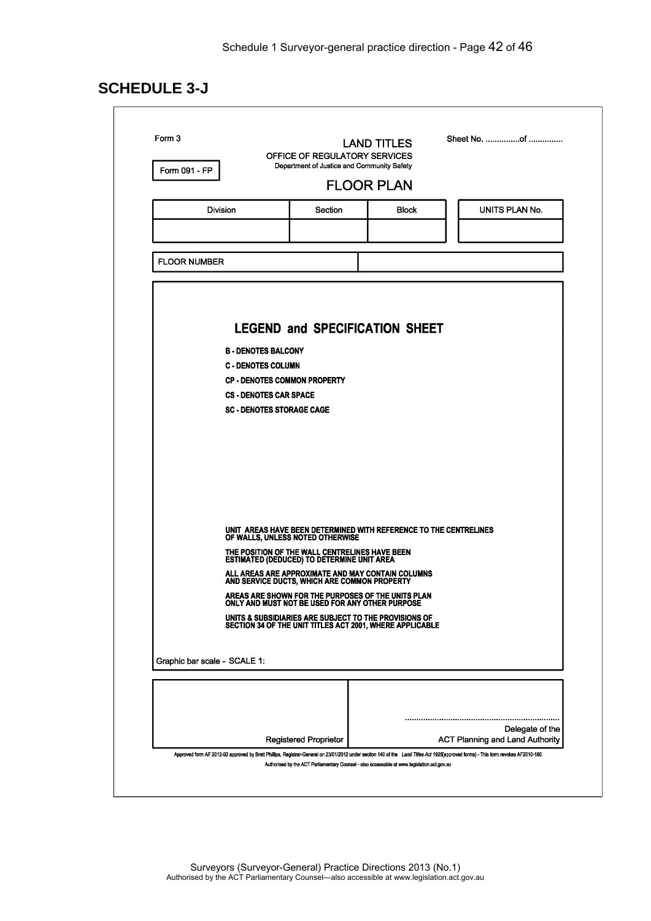# **SCHEDULE 3-J**

| Form 091 - FP                    | OFFICE OF REGULATORY SERVICES<br>Department of Justice and Community Safety                                       |                   |                 |
|----------------------------------|-------------------------------------------------------------------------------------------------------------------|-------------------|-----------------|
|                                  |                                                                                                                   | <b>FLOOR PLAN</b> |                 |
| Division                         | Section                                                                                                           | <b>Block</b>      | UNITS PLAN No.  |
|                                  |                                                                                                                   |                   |                 |
| <b>FLOOR NUMBER</b>              |                                                                                                                   |                   |                 |
|                                  |                                                                                                                   |                   |                 |
|                                  |                                                                                                                   |                   |                 |
|                                  |                                                                                                                   |                   |                 |
|                                  | <b>LEGEND and SPECIFICATION SHEET</b>                                                                             |                   |                 |
| <b>B - DENOTES BALCONY</b>       |                                                                                                                   |                   |                 |
| <b>C - DENOTES COLUMN</b>        | <b>CP - DENOTES COMMON PROPERTY</b>                                                                               |                   |                 |
| <b>CS - DENOTES CAR SPACE</b>    |                                                                                                                   |                   |                 |
| <b>SC - DENOTES STORAGE CAGE</b> |                                                                                                                   |                   |                 |
|                                  |                                                                                                                   |                   |                 |
|                                  |                                                                                                                   |                   |                 |
|                                  |                                                                                                                   |                   |                 |
|                                  |                                                                                                                   |                   |                 |
|                                  |                                                                                                                   |                   |                 |
|                                  |                                                                                                                   |                   |                 |
|                                  | UNIT AREAS HAVE BEEN DETERMINED WITH REFERENCE TO THE CENTRELINES OF WALLS, UNLESS NOTED OTHERWISE                |                   |                 |
|                                  | THE POSITION OF THE WALL CENTRELINES HAVE BEEN<br>ESTIMATED (DEDUCED) TO DETERMINE UNIT AREA                      |                   |                 |
|                                  | ALL AREAS ARE APPROXIMATE AND MAY CONTAIN COLUMNS<br>AND SERVICE DUCTS, WHICH ARE COMMON PROPERTY                 |                   |                 |
|                                  | AREAS ARE SHOWN FOR THE PURPOSES OF THE UNITS PLAN<br>ONLY AND MUST NOT BE USED FOR ANY OTHER PURPOSE             |                   |                 |
|                                  | UNITS & SUBSIDIARIES ARE SUBJECT TO THE PROVISIONS OF<br>SECTION 34 OF THE UNIT TITLES ACT 2001, WHERE APPLICABLE |                   |                 |
|                                  |                                                                                                                   |                   |                 |
| Graphic bar scale - SCALE 1:     |                                                                                                                   |                   |                 |
|                                  |                                                                                                                   |                   |                 |
|                                  |                                                                                                                   |                   |                 |
|                                  |                                                                                                                   |                   |                 |
|                                  |                                                                                                                   |                   | Delegate of the |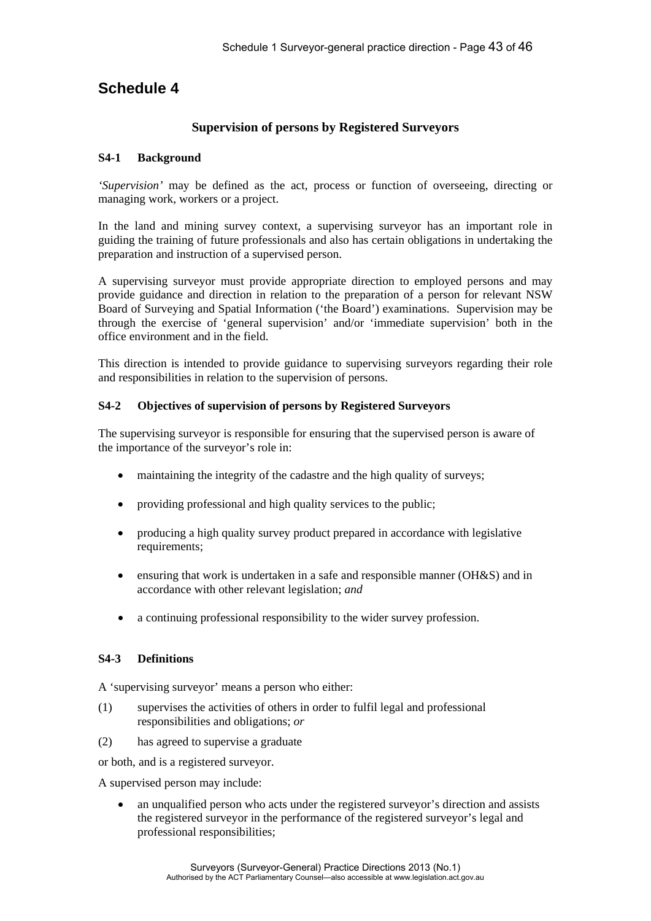# **Schedule 4**

### **Supervision of persons by Registered Surveyors**

#### **S4-1 Background**

*'Supervision'* may be defined as the act, process or function of overseeing, directing or managing work, workers or a project.

In the land and mining survey context, a supervising surveyor has an important role in guiding the training of future professionals and also has certain obligations in undertaking the preparation and instruction of a supervised person.

A supervising surveyor must provide appropriate direction to employed persons and may provide guidance and direction in relation to the preparation of a person for relevant NSW Board of Surveying and Spatial Information ('the Board') examinations. Supervision may be through the exercise of 'general supervision' and/or 'immediate supervision' both in the office environment and in the field.

This direction is intended to provide guidance to supervising surveyors regarding their role and responsibilities in relation to the supervision of persons.

#### **S4-2 Objectives of supervision of persons by Registered Surveyors**

The supervising surveyor is responsible for ensuring that the supervised person is aware of the importance of the surveyor's role in:

- maintaining the integrity of the cadastre and the high quality of surveys;
- providing professional and high quality services to the public;
- producing a high quality survey product prepared in accordance with legislative requirements;
- ensuring that work is undertaken in a safe and responsible manner (OH&S) and in accordance with other relevant legislation; *and*
- a continuing professional responsibility to the wider survey profession.

### **S4-3 Definitions**

A 'supervising surveyor' means a person who either:

- (1) supervises the activities of others in order to fulfil legal and professional responsibilities and obligations; *or*
- (2) has agreed to supervise a graduate

or both, and is a registered surveyor.

A supervised person may include:

 an unqualified person who acts under the registered surveyor's direction and assists the registered surveyor in the performance of the registered surveyor's legal and professional responsibilities;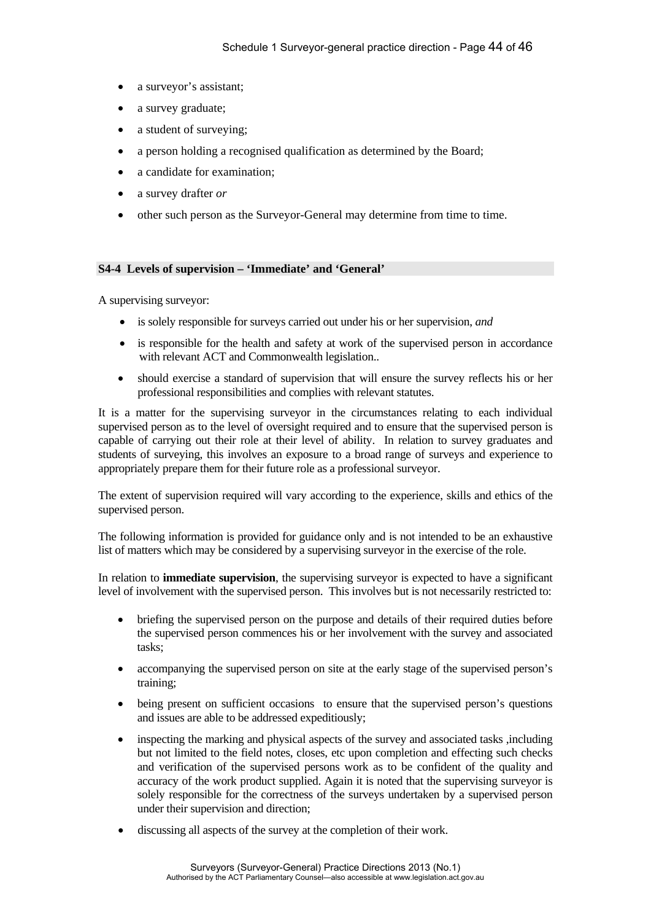- a surveyor's assistant;
- a survey graduate;
- a student of surveying;
- a person holding a recognised qualification as determined by the Board;
- a candidate for examination;
- a survey drafter *or*
- other such person as the Surveyor-General may determine from time to time.

#### **S4-4 Levels of supervision – 'Immediate' and 'General'**

A supervising surveyor:

- is solely responsible for surveys carried out under his or her supervision, *and*
- is responsible for the health and safety at work of the supervised person in accordance with relevant ACT and Commonwealth legislation..
- should exercise a standard of supervision that will ensure the survey reflects his or her professional responsibilities and complies with relevant statutes.

It is a matter for the supervising surveyor in the circumstances relating to each individual supervised person as to the level of oversight required and to ensure that the supervised person is capable of carrying out their role at their level of ability. In relation to survey graduates and students of surveying, this involves an exposure to a broad range of surveys and experience to appropriately prepare them for their future role as a professional surveyor.

The extent of supervision required will vary according to the experience, skills and ethics of the supervised person.

The following information is provided for guidance only and is not intended to be an exhaustive list of matters which may be considered by a supervising surveyor in the exercise of the role.

In relation to **immediate supervision**, the supervising surveyor is expected to have a significant level of involvement with the supervised person. This involves but is not necessarily restricted to:

- briefing the supervised person on the purpose and details of their required duties before the supervised person commences his or her involvement with the survey and associated tasks;
- accompanying the supervised person on site at the early stage of the supervised person's training;
- being present on sufficient occasions to ensure that the supervised person's questions and issues are able to be addressed expeditiously;
- inspecting the marking and physical aspects of the survey and associated tasks ,including but not limited to the field notes, closes, etc upon completion and effecting such checks and verification of the supervised persons work as to be confident of the quality and accuracy of the work product supplied. Again it is noted that the supervising surveyor is solely responsible for the correctness of the surveys undertaken by a supervised person under their supervision and direction;
- discussing all aspects of the survey at the completion of their work.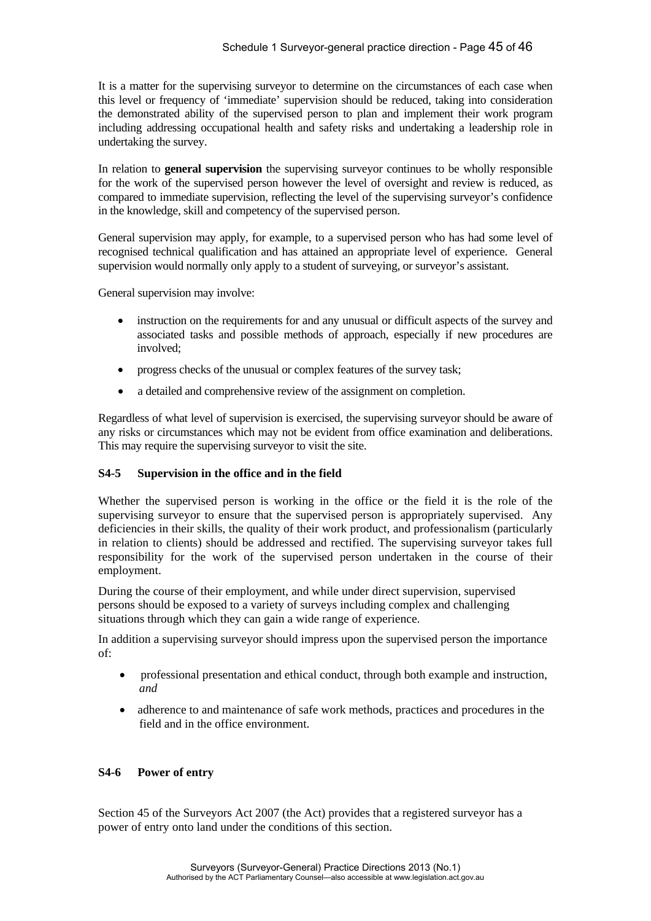It is a matter for the supervising surveyor to determine on the circumstances of each case when this level or frequency of 'immediate' supervision should be reduced, taking into consideration the demonstrated ability of the supervised person to plan and implement their work program including addressing occupational health and safety risks and undertaking a leadership role in undertaking the survey.

In relation to **general supervision** the supervising surveyor continues to be wholly responsible for the work of the supervised person however the level of oversight and review is reduced, as compared to immediate supervision, reflecting the level of the supervising surveyor's confidence in the knowledge, skill and competency of the supervised person.

General supervision may apply, for example, to a supervised person who has had some level of recognised technical qualification and has attained an appropriate level of experience. General supervision would normally only apply to a student of surveying, or surveyor's assistant.

General supervision may involve:

- instruction on the requirements for and any unusual or difficult aspects of the survey and associated tasks and possible methods of approach, especially if new procedures are involved;
- progress checks of the unusual or complex features of the survey task;
- a detailed and comprehensive review of the assignment on completion.

Regardless of what level of supervision is exercised, the supervising surveyor should be aware of any risks or circumstances which may not be evident from office examination and deliberations. This may require the supervising surveyor to visit the site.

#### **S4-5 Supervision in the office and in the field**

Whether the supervised person is working in the office or the field it is the role of the supervising surveyor to ensure that the supervised person is appropriately supervised. Any deficiencies in their skills, the quality of their work product, and professionalism (particularly in relation to clients) should be addressed and rectified. The supervising surveyor takes full responsibility for the work of the supervised person undertaken in the course of their employment.

During the course of their employment, and while under direct supervision, supervised persons should be exposed to a variety of surveys including complex and challenging situations through which they can gain a wide range of experience.

In addition a supervising surveyor should impress upon the supervised person the importance of:

- professional presentation and ethical conduct, through both example and instruction, *and*
- adherence to and maintenance of safe work methods, practices and procedures in the field and in the office environment.

#### **S4-6 Power of entry**

Section 45 of the Surveyors Act 2007 (the Act) provides that a registered surveyor has a power of entry onto land under the conditions of this section.